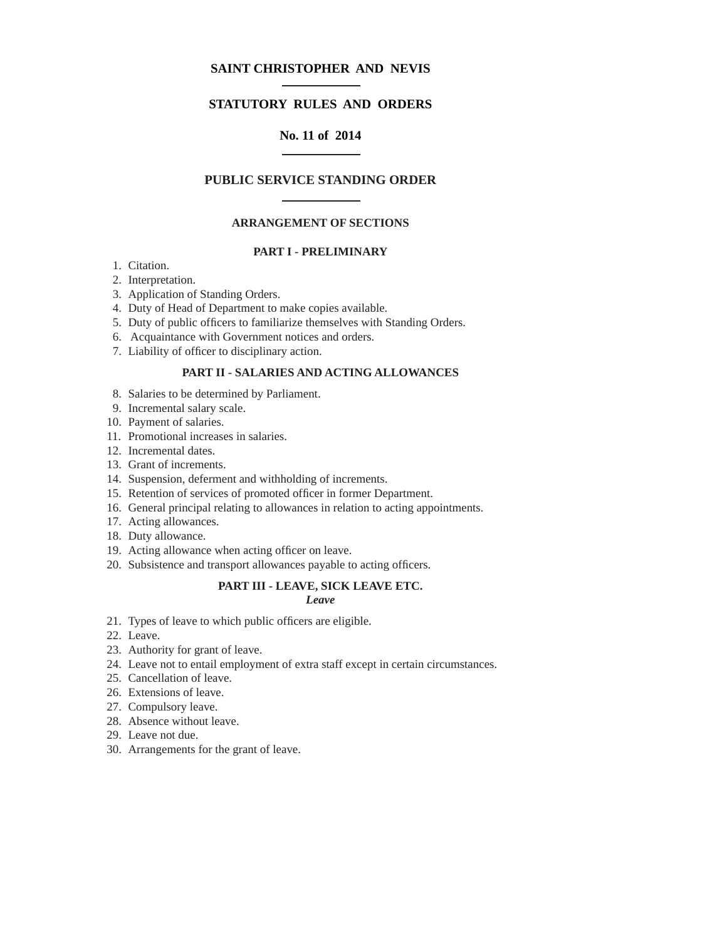# **SAINT CHRISTOPHER AND NEVIS**

# **STATUTORY RULES AND ORDERS**

# **No. 11 of 2014**

## **PUBLIC SERVICE STANDING ORDER**

## **ARRANGEMENT OF SECTIONS**

## **PART I - PRELIMINARY**

- 1. Citation.
- 2. Interpretation.
- 3. Application of Standing Orders.
- 4. Duty of Head of Department to make copies available.
- 5. Duty of public officers to familiarize themselves with Standing Orders.
- 6. Acquaintance with Government notices and orders.
- 7. Liability of officer to disciplinary action.

## **PART II - SALARIES AND ACTING ALLOWANCES**

- 8. Salaries to be determined by Parliament.
- 9. Incremental salary scale.
- 10. Payment of salaries.
- 11. Promotional increases in salaries.
- 12. Incremental dates.
- 13. Grant of increments.
- 14. Suspension, deferment and withholding of increments.
- 15. Retention of services of promoted officer in former Department.
- 16. General principal relating to allowances in relation to acting appointments.
- 17. Acting allowances.
- 18. Duty allowance.
- 19. Acting allowance when acting officer on leave.
- 20. Subsistence and transport allowances payable to acting officers.

## **PART III - LEAVE, SICK LEAVE ETC.**

# *Leave*

- 21. Types of leave to which public officers are eligible.
- 22. Leave.
- 23. Authority for grant of leave.
- 24. Leave not to entail employment of extra staff except in certain circumstances.
- 25. Cancellation of leave.
- 26. Extensions of leave.
- 27. Compulsory leave.
- 28. Absence without leave.
- 29. Leave not due.
- 30. Arrangements for the grant of leave.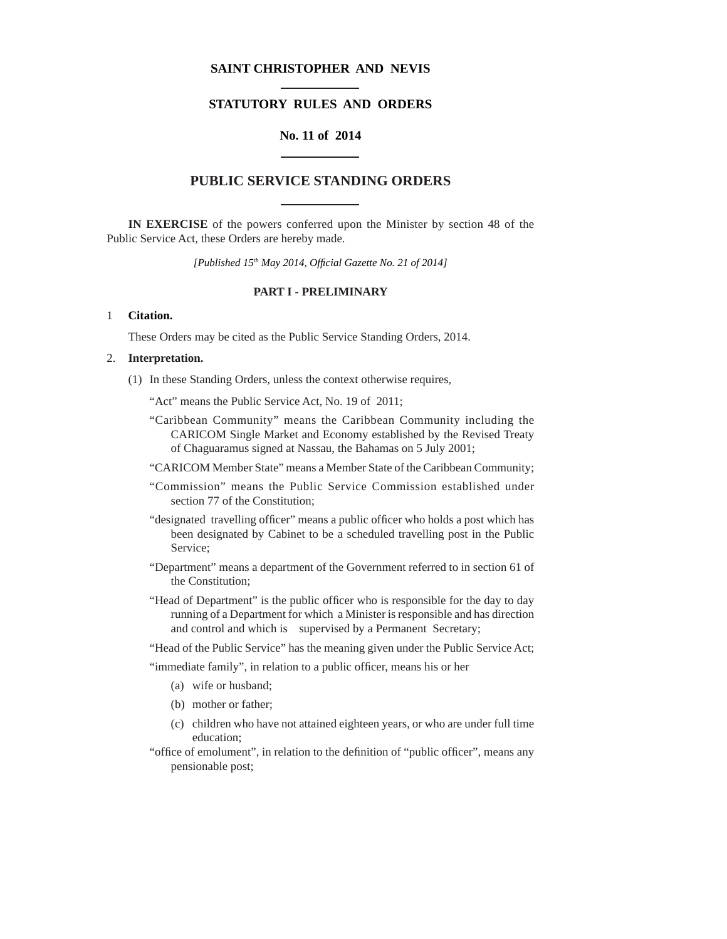## **SAINT CHRISTOPHER AND NEVIS**

# **STATUTORY RULES AND ORDERS**

# **No. 11 of 2014**

## **PUBLIC SERVICE STANDING ORDERS**

**IN EXERCISE** of the powers conferred upon the Minister by section 48 of the Public Service Act, these Orders are hereby made.

*[Published 15th May 2014, Offi cial Gazette No. 21 of 2014]*

### **PART I - PRELIMINARY**

#### 1 **Citation.**

These Orders may be cited as the Public Service Standing Orders, 2014.

## 2. **Interpretation.**

(1) In these Standing Orders, unless the context otherwise requires,

"Act" means the Public Service Act, No. 19 of 2011;

- "Caribbean Community" means the Caribbean Community including the CARICOM Single Market and Economy established by the Revised Treaty of Chaguaramus signed at Nassau, the Bahamas on 5 July 2001;
- "CARICOM Member State" means a Member State of the Caribbean Community;
- "Commission" means the Public Service Commission established under section 77 of the Constitution;
- "designated travelling officer" means a public officer who holds a post which has been designated by Cabinet to be a scheduled travelling post in the Public Service;
- "Department" means a department of the Government referred to in section 61 of the Constitution;
- "Head of Department" is the public officer who is responsible for the day to day running of a Department for which a Minister is responsible and has direction and control and which is supervised by a Permanent Secretary;
- "Head of the Public Service" has the meaning given under the Public Service Act;

"immediate family", in relation to a public officer, means his or her

- (a) wife or husband;
- (b) mother or father;
- (c) children who have not attained eighteen years, or who are under full time education;
- "office of emolument", in relation to the definition of "public officer", means any pensionable post;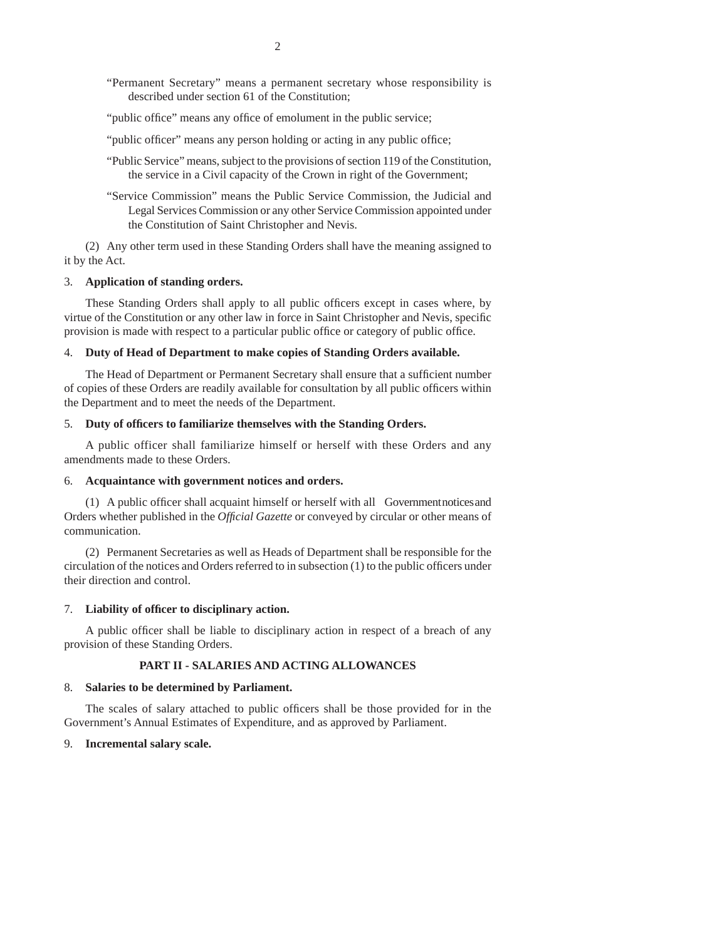- "Permanent Secretary" means a permanent secretary whose responsibility is described under section 61 of the Constitution;
- "public office" means any office of emolument in the public service;
- "public officer" means any person holding or acting in any public office;
- "Public Service" means, subject to the provisions of section 119 of the Constitution, the service in a Civil capacity of the Crown in right of the Government;
- "Service Commission" means the Public Service Commission, the Judicial and Legal Services Commission or any other Service Commission appointed under the Constitution of Saint Christopher and Nevis.

 (2) Any other term used in these Standing Orders shall have the meaning assigned to it by the Act.

#### 3. **Application of standing orders.**

These Standing Orders shall apply to all public officers except in cases where, by virtue of the Constitution or any other law in force in Saint Christopher and Nevis, specific provision is made with respect to a particular public office or category of public office.

### 4. **Duty of Head of Department to make copies of Standing Orders available.**

The Head of Department or Permanent Secretary shall ensure that a sufficient number of copies of these Orders are readily available for consultation by all public officers within the Department and to meet the needs of the Department.

#### 5. **Duty of offi cers to familiarize themselves with the Standing Orders.**

A public officer shall familiarize himself or herself with these Orders and any amendments made to these Orders.

#### 6. **Acquaintance with government notices and orders.**

(1) A public officer shall acquaint himself or herself with all Government notices and Orders whether published in the *Official Gazette* or conveyed by circular or other means of communication.

 (2) Permanent Secretaries as well as Heads of Department shall be responsible for the circulation of the notices and Orders referred to in subsection  $(1)$  to the public officers under their direction and control.

### 7. Liability of officer to disciplinary action.

A public officer shall be liable to disciplinary action in respect of a breach of any provision of these Standing Orders.

### **PART II - SALARIES AND ACTING ALLOWANCES**

#### 8. **Salaries to be determined by Parliament.**

The scales of salary attached to public officers shall be those provided for in the Government's Annual Estimates of Expenditure, and as approved by Parliament.

#### 9. **Incremental salary scale.**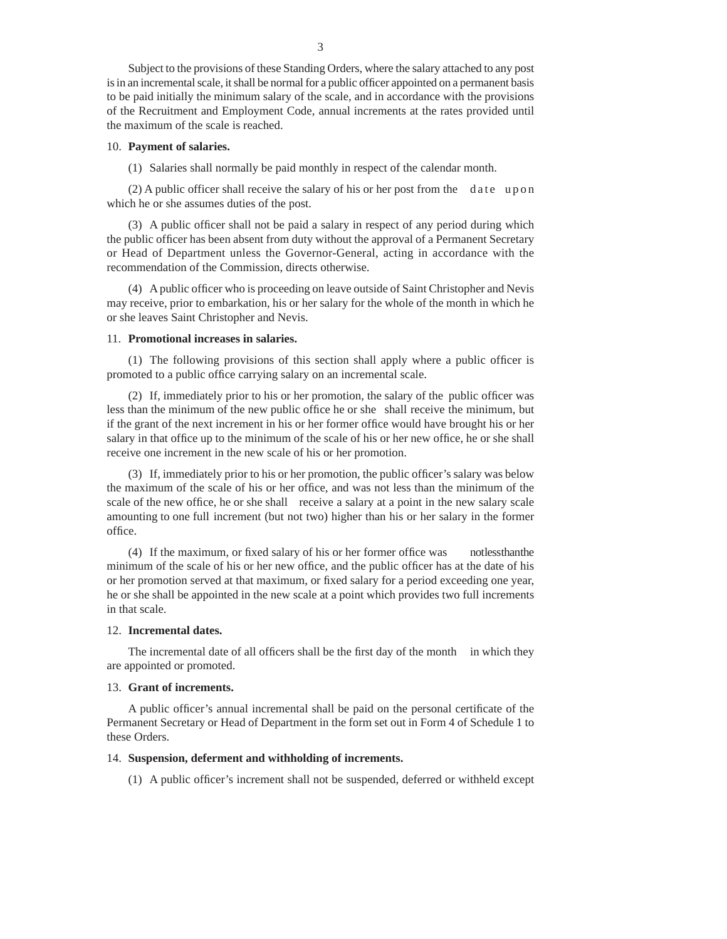Subject to the provisions of these Standing Orders, where the salary attached to any post is in an incremental scale, it shall be normal for a public officer appointed on a permanent basis to be paid initially the minimum salary of the scale, and in accordance with the provisions of the Recruitment and Employment Code, annual increments at the rates provided until the maximum of the scale is reached.

#### 10. **Payment of salaries.**

(1) Salaries shall normally be paid monthly in respect of the calendar month.

 $(2)$  A public officer shall receive the salary of his or her post from the date up on which he or she assumes duties of the post.

 $(3)$  A public officer shall not be paid a salary in respect of any period during which the public officer has been absent from duty without the approval of a Permanent Secretary or Head of Department unless the Governor-General, acting in accordance with the recommendation of the Commission, directs otherwise.

(4) A public officer who is proceeding on leave outside of Saint Christopher and Nevis may receive, prior to embarkation, his or her salary for the whole of the month in which he or she leaves Saint Christopher and Nevis.

## 11. **Promotional increases in salaries.**

 $(1)$  The following provisions of this section shall apply where a public officer is promoted to a public office carrying salary on an incremental scale.

 $(2)$  If, immediately prior to his or her promotion, the salary of the public officer was less than the minimum of the new public office he or she shall receive the minimum, but if the grant of the next increment in his or her former office would have brought his or her salary in that office up to the minimum of the scale of his or her new office, he or she shall receive one increment in the new scale of his or her promotion.

 $(3)$  If, immediately prior to his or her promotion, the public officer's salary was below the maximum of the scale of his or her office, and was not less than the minimum of the scale of the new office, he or she shall receive a salary at a point in the new salary scale amounting to one full increment (but not two) higher than his or her salary in the former office.

(4) If the maximum, or fixed salary of his or her former office was notless than the minimum of the scale of his or her new office, and the public officer has at the date of his or her promotion served at that maximum, or fixed salary for a period exceeding one year, he or she shall be appointed in the new scale at a point which provides two full increments in that scale.

### 12. **Incremental dates.**

The incremental date of all officers shall be the first day of the month in which they are appointed or promoted.

#### 13. **Grant of increments.**

A public officer's annual incremental shall be paid on the personal certificate of the Permanent Secretary or Head of Department in the form set out in Form 4 of Schedule 1 to these Orders.

### 14. **Suspension, deferment and withholding of increments.**

 $(1)$  A public officer's increment shall not be suspended, deferred or withheld except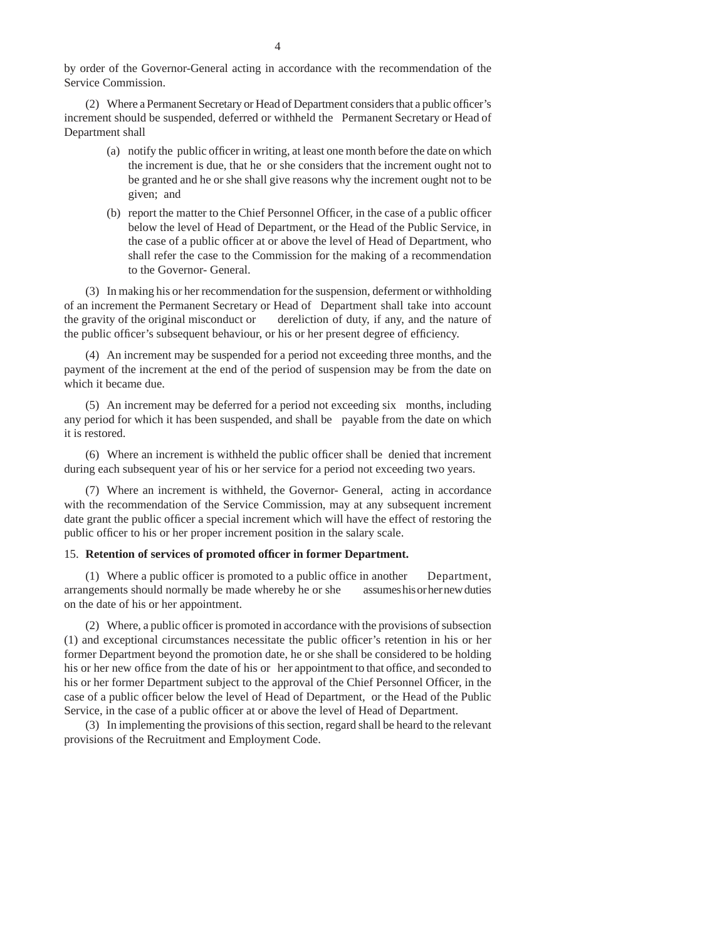by order of the Governor-General acting in accordance with the recommendation of the Service Commission.

(2) Where a Permanent Secretary or Head of Department considers that a public officer's increment should be suspended, deferred or withheld the Permanent Secretary or Head of Department shall

- (a) notify the public officer in writing, at least one month before the date on which the increment is due, that he or she considers that the increment ought not to be granted and he or she shall give reasons why the increment ought not to be given; and
- (b) report the matter to the Chief Personnel Officer, in the case of a public officer below the level of Head of Department, or the Head of the Public Service, in the case of a public officer at or above the level of Head of Department, who shall refer the case to the Commission for the making of a recommendation to the Governor- General.

(3) In making his or her recommendation for the suspension, deferment or withholding of an increment the Permanent Secretary or Head of Department shall take into account the gravity of the original misconduct or dereliction of duty, if any, and the nature of the public officer's subsequent behaviour, or his or her present degree of efficiency.

(4) An increment may be suspended for a period not exceeding three months, and the payment of the increment at the end of the period of suspension may be from the date on which it became due.

(5) An increment may be deferred for a period not exceeding six months, including any period for which it has been suspended, and shall be payable from the date on which it is restored.

 $(6)$  Where an increment is withheld the public officer shall be denied that increment during each subsequent year of his or her service for a period not exceeding two years.

(7) Where an increment is withheld, the Governor- General, acting in accordance with the recommendation of the Service Commission, may at any subsequent increment date grant the public officer a special increment which will have the effect of restoring the public officer to his or her proper increment position in the salary scale.

### 15. Retention of services of promoted officer in former Department.

(1) Where a public officer is promoted to a public office in another Department, arrangements should normally be made whereby he or she assumes his or her new duties on the date of his or her appointment.

 $(2)$  Where, a public officer is promoted in accordance with the provisions of subsection  $(1)$  and exceptional circumstances necessitate the public officer's retention in his or her former Department beyond the promotion date, he or she shall be considered to be holding his or her new office from the date of his or her appointment to that office, and seconded to his or her former Department subject to the approval of the Chief Personnel Officer, in the case of a public officer below the level of Head of Department, or the Head of the Public Service, in the case of a public officer at or above the level of Head of Department.

(3) In implementing the provisions of this section, regard shall be heard to the relevant provisions of the Recruitment and Employment Code.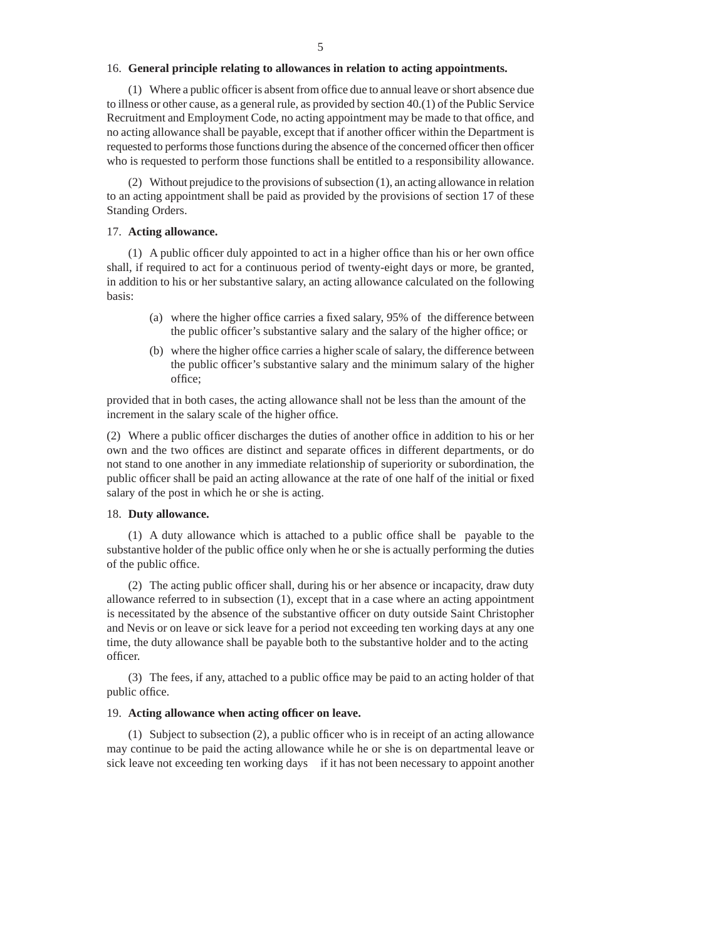#### 16. **General principle relating to allowances in relation to acting appointments.**

 $(1)$  Where a public officer is absent from office due to annual leave or short absence due to illness or other cause, as a general rule, as provided by section 40.(1) of the Public Service Recruitment and Employment Code, no acting appointment may be made to that office, and no acting allowance shall be payable, except that if another officer within the Department is requested to performs those functions during the absence of the concerned officer then officer who is requested to perform those functions shall be entitled to a responsibility allowance.

(2) Without prejudice to the provisions of subsection (1), an acting allowance in relation to an acting appointment shall be paid as provided by the provisions of section 17 of these Standing Orders.

### 17. **Acting allowance.**

 $(1)$  A public officer duly appointed to act in a higher office than his or her own office shall, if required to act for a continuous period of twenty-eight days or more, be granted, in addition to his or her substantive salary, an acting allowance calculated on the following basis:

- (a) where the higher office carries a fixed salary,  $95\%$  of the difference between the public officer's substantive salary and the salary of the higher office; or
- (b) where the higher office carries a higher scale of salary, the difference between the public officer's substantive salary and the minimum salary of the higher office;

provided that in both cases, the acting allowance shall not be less than the amount of the increment in the salary scale of the higher office.

(2) Where a public officer discharges the duties of another office in addition to his or her own and the two offices are distinct and separate offices in different departments, or do not stand to one another in any immediate relationship of superiority or subordination, the public officer shall be paid an acting allowance at the rate of one half of the initial or fixed salary of the post in which he or she is acting.

#### 18. **Duty allowance.**

 $(1)$  A duty allowance which is attached to a public office shall be payable to the substantive holder of the public office only when he or she is actually performing the duties of the public office.

(2) The acting public officer shall, during his or her absence or incapacity, draw duty allowance referred to in subsection (1), except that in a case where an acting appointment is necessitated by the absence of the substantive officer on duty outside Saint Christopher and Nevis or on leave or sick leave for a period not exceeding ten working days at any one time, the duty allowance shall be payable both to the substantive holder and to the acting officer.

(3) The fees, if any, attached to a public office may be paid to an acting holder of that public office.

#### 19. Acting allowance when acting officer on leave.

(1) Subject to subsection  $(2)$ , a public officer who is in receipt of an acting allowance may continue to be paid the acting allowance while he or she is on departmental leave or sick leave not exceeding ten working days if it has not been necessary to appoint another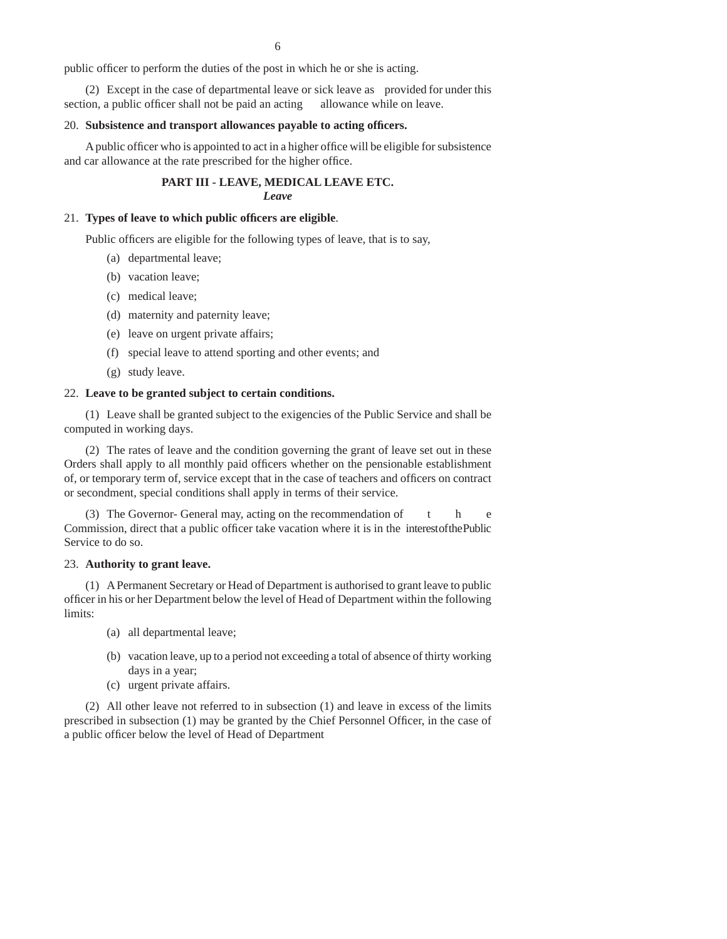public officer to perform the duties of the post in which he or she is acting.

 (2) Except in the case of departmental leave or sick leave as provided for under this section, a public officer shall not be paid an acting allowance while on leave.

#### 20. Subsistence and transport allowances payable to acting officers.

A public officer who is appointed to act in a higher office will be eligible for subsistence and car allowance at the rate prescribed for the higher office.

### **PART III - LEAVE, MEDICAL LEAVE ETC.** *Leave*

#### 21. Types of leave to which public officers are eligible.

Public officers are eligible for the following types of leave, that is to say,

- (a) departmental leave;
- (b) vacation leave;
- (c) medical leave;
- (d) maternity and paternity leave;
- (e) leave on urgent private affairs;
- (f) special leave to attend sporting and other events; and
- (g) study leave.

### 22. **Leave to be granted subject to certain conditions.**

(1) Leave shall be granted subject to the exigencies of the Public Service and shall be computed in working days.

(2) The rates of leave and the condition governing the grant of leave set out in these Orders shall apply to all monthly paid officers whether on the pensionable establishment of, or temporary term of, service except that in the case of teachers and officers on contract or secondment, special conditions shall apply in terms of their service.

(3) The Governor- General may, acting on the recommendation of the e Commission, direct that a public officer take vacation where it is in the interest of the Public Service to do so.

### 23. **Authority to grant leave.**

 (1) A Permanent Secretary or Head of Department is authorised to grant leave to public officer in his or her Department below the level of Head of Department within the following limits:

- (a) all departmental leave;
- (b) vacation leave, up to a period not exceeding a total of absence of thirty working days in a year;
- (c) urgent private affairs.

(2) All other leave not referred to in subsection (1) and leave in excess of the limits prescribed in subsection (1) may be granted by the Chief Personnel Officer, in the case of a public officer below the level of Head of Department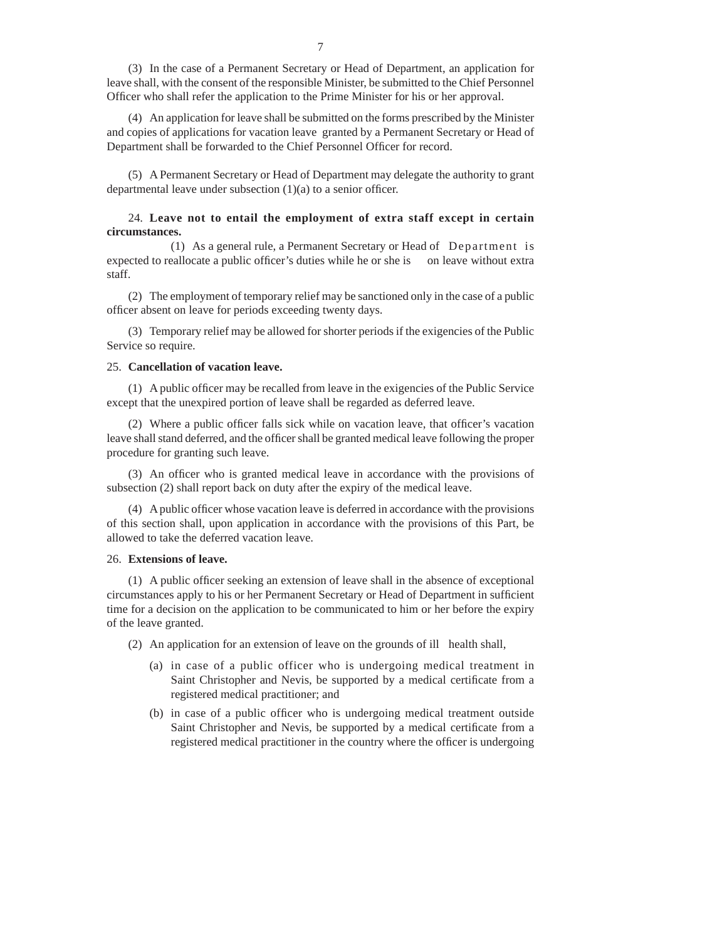(3) In the case of a Permanent Secretary or Head of Department, an application for leave shall, with the consent of the responsible Minister, be submitted to the Chief Personnel Officer who shall refer the application to the Prime Minister for his or her approval.

(4) An application for leave shall be submitted on the forms prescribed by the Minister and copies of applications for vacation leave granted by a Permanent Secretary or Head of Department shall be forwarded to the Chief Personnel Officer for record.

(5) A Permanent Secretary or Head of Department may delegate the authority to grant departmental leave under subsection  $(1)(a)$  to a senior officer.

### 24. **Leave not to entail the employment of extra staff except in certain circumstances.**

 (1) As a general rule, a Permanent Secretary or Head of Department is expected to reallocate a public officer's duties while he or she is on leave without extra staff.

(2) The employment of temporary relief may be sanctioned only in the case of a public officer absent on leave for periods exceeding twenty days.

(3) Temporary relief may be allowed for shorter periods if the exigencies of the Public Service so require.

#### 25. **Cancellation of vacation leave.**

 $(1)$  A public officer may be recalled from leave in the exigencies of the Public Service except that the unexpired portion of leave shall be regarded as deferred leave.

(2) Where a public officer falls sick while on vacation leave, that officer's vacation leave shall stand deferred, and the officer shall be granted medical leave following the proper procedure for granting such leave.

(3) An officer who is granted medical leave in accordance with the provisions of subsection (2) shall report back on duty after the expiry of the medical leave.

(4) A public officer whose vacation leave is deferred in accordance with the provisions of this section shall, upon application in accordance with the provisions of this Part, be allowed to take the deferred vacation leave.

#### 26. **Extensions of leave.**

 $(1)$  A public officer seeking an extension of leave shall in the absence of exceptional circumstances apply to his or her Permanent Secretary or Head of Department in sufficient time for a decision on the application to be communicated to him or her before the expiry of the leave granted.

(2) An application for an extension of leave on the grounds of ill health shall,

- (a) in case of a public officer who is undergoing medical treatment in Saint Christopher and Nevis, be supported by a medical certificate from a registered medical practitioner; and
- (b) in case of a public officer who is undergoing medical treatment outside Saint Christopher and Nevis, be supported by a medical certificate from a registered medical practitioner in the country where the officer is undergoing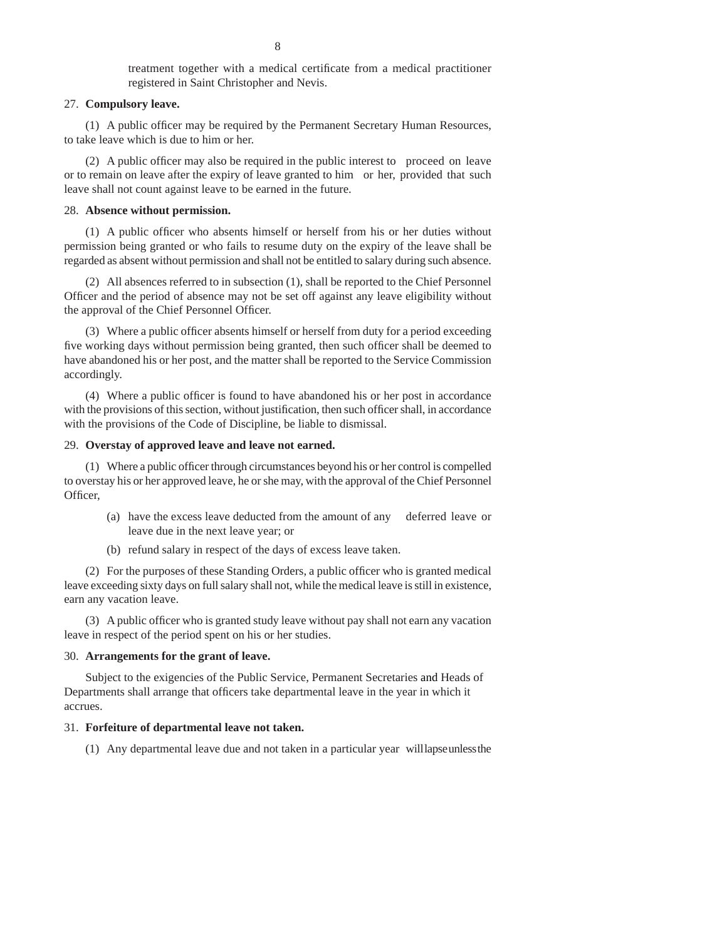treatment together with a medical certificate from a medical practitioner registered in Saint Christopher and Nevis.

### 27. **Compulsory leave.**

(1) A public officer may be required by the Permanent Secretary Human Resources, to take leave which is due to him or her.

(2) A public officer may also be required in the public interest to proceed on leave or to remain on leave after the expiry of leave granted to him or her, provided that such leave shall not count against leave to be earned in the future.

#### 28. **Absence without permission.**

 $(1)$  A public officer who absents himself or herself from his or her duties without permission being granted or who fails to resume duty on the expiry of the leave shall be regarded as absent without permission and shall not be entitled to salary during such absence.

(2) All absences referred to in subsection (1), shall be reported to the Chief Personnel Officer and the period of absence may not be set off against any leave eligibility without the approval of the Chief Personnel Officer.

(3) Where a public officer absents himself or herself from duty for a period exceeding five working days without permission being granted, then such officer shall be deemed to have abandoned his or her post, and the matter shall be reported to the Service Commission accordingly.

 $(4)$  Where a public officer is found to have abandoned his or her post in accordance with the provisions of this section, without justification, then such officer shall, in accordance with the provisions of the Code of Discipline, be liable to dismissal.

#### 29. **Overstay of approved leave and leave not earned.**

(1) Where a public officer through circumstances beyond his or her control is compelled to overstay his or her approved leave, he or she may, with the approval of the Chief Personnel Officer.

- (a) have the excess leave deducted from the amount of any deferred leave or leave due in the next leave year; or
- (b) refund salary in respect of the days of excess leave taken.

(2) For the purposes of these Standing Orders, a public officer who is granted medical leave exceeding sixty days on full salary shall not, while the medical leave is still in existence, earn any vacation leave.

(3) A public officer who is granted study leave without pay shall not earn any vacation leave in respect of the period spent on his or her studies.

#### 30. **Arrangements for the grant of leave.**

Subject to the exigencies of the Public Service, Permanent Secretaries and Heads of Departments shall arrange that officers take departmental leave in the year in which it accrues.

#### 31. **Forfeiture of departmental leave not taken.**

(1) Any departmental leave due and not taken in a particular year will lapse unless the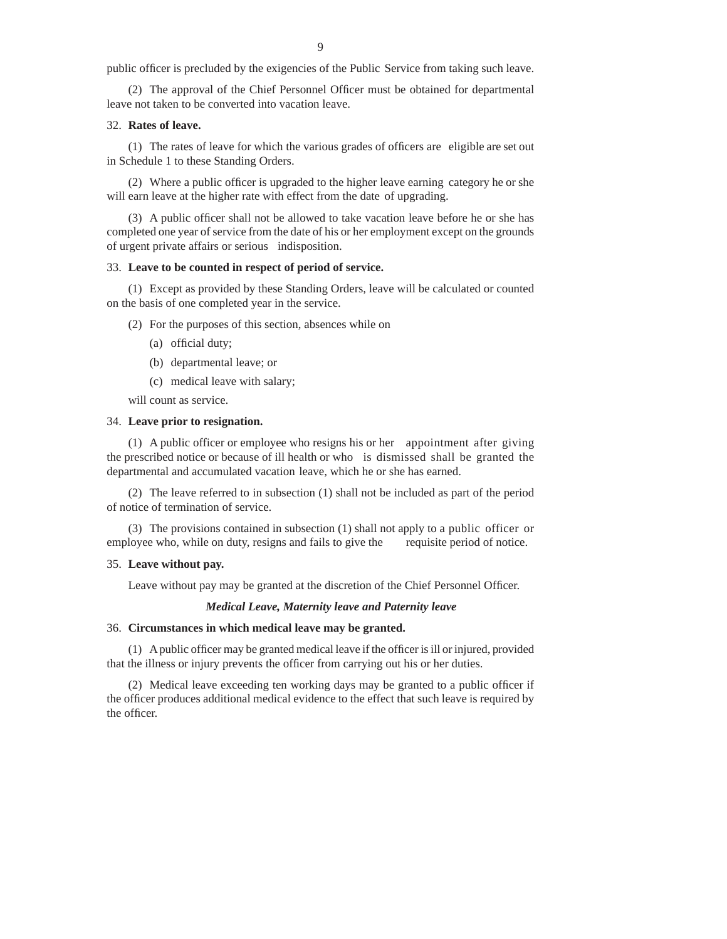public officer is precluded by the exigencies of the Public Service from taking such leave.

(2) The approval of the Chief Personnel Officer must be obtained for departmental leave not taken to be converted into vacation leave.

#### 32. **Rates of leave.**

 $(1)$  The rates of leave for which the various grades of officers are eligible are set out in Schedule 1 to these Standing Orders.

(2) Where a public officer is upgraded to the higher leave earning category he or she will earn leave at the higher rate with effect from the date of upgrading.

 $(3)$  A public officer shall not be allowed to take vacation leave before he or she has completed one year of service from the date of his or her employment except on the grounds of urgent private affairs or serious indisposition.

## 33. **Leave to be counted in respect of period of service.**

(1) Except as provided by these Standing Orders, leave will be calculated or counted on the basis of one completed year in the service.

(2) For the purposes of this section, absences while on

- (a) official duty;
- (b) departmental leave; or
- (c) medical leave with salary;

will count as service.

### 34. **Leave prior to resignation.**

(1) A public officer or employee who resigns his or her appointment after giving the prescribed notice or because of ill health or who is dismissed shall be granted the departmental and accumulated vacation leave, which he or she has earned.

(2) The leave referred to in subsection (1) shall not be included as part of the period of notice of termination of service.

(3) The provisions contained in subsection (1) shall not apply to a public officer or employee who, while on duty, resigns and fails to give the requisite period of notice.

#### 35. **Leave without pay.**

Leave without pay may be granted at the discretion of the Chief Personnel Officer.

### *Medical Leave, Maternity leave and Paternity leave*

## 36. **Circumstances in which medical leave may be granted.**

 $(1)$  A public officer may be granted medical leave if the officer is ill or injured, provided that the illness or injury prevents the officer from carrying out his or her duties.

(2) Medical leave exceeding ten working days may be granted to a public officer if the officer produces additional medical evidence to the effect that such leave is required by the officer.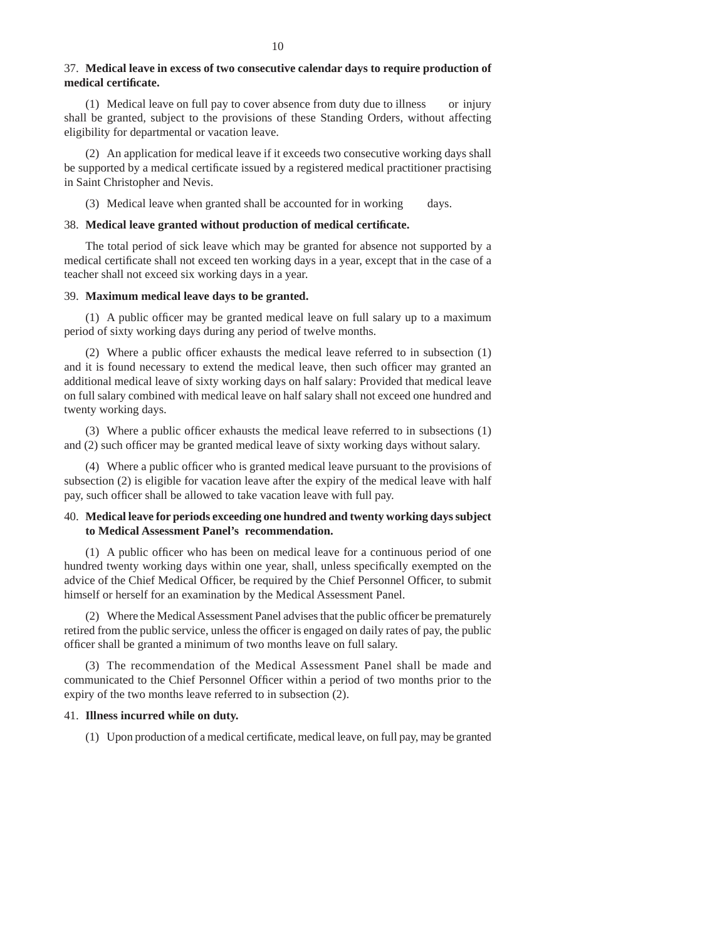### 37. **Medical leave in excess of two consecutive calendar days to require production of medical certifi cate.**

(1) Medical leave on full pay to cover absence from duty due to illness or injury shall be granted, subject to the provisions of these Standing Orders, without affecting eligibility for departmental or vacation leave.

(2) An application for medical leave if it exceeds two consecutive working days shall be supported by a medical certificate issued by a registered medical practitioner practising in Saint Christopher and Nevis.

(3) Medical leave when granted shall be accounted for in working days.

### 38. **Medical leave granted without production of medical certifi cate.**

The total period of sick leave which may be granted for absence not supported by a medical certificate shall not exceed ten working days in a year, except that in the case of a teacher shall not exceed six working days in a year.

### 39. **Maximum medical leave days to be granted.**

 $(1)$  A public officer may be granted medical leave on full salary up to a maximum period of sixty working days during any period of twelve months.

(2) Where a public officer exhausts the medical leave referred to in subsection  $(1)$ and it is found necessary to extend the medical leave, then such officer may granted an additional medical leave of sixty working days on half salary: Provided that medical leave on full salary combined with medical leave on half salary shall not exceed one hundred and twenty working days.

(3) Where a public officer exhausts the medical leave referred to in subsections  $(1)$ and  $(2)$  such officer may be granted medical leave of sixty working days without salary.

(4) Where a public officer who is granted medical leave pursuant to the provisions of subsection (2) is eligible for vacation leave after the expiry of the medical leave with half pay, such officer shall be allowed to take vacation leave with full pay.

## 40. **Medical leave for periods exceeding one hundred and twenty working days subject to Medical Assessment Panel's recommendation.**

 $(1)$  A public officer who has been on medical leave for a continuous period of one hundred twenty working days within one year, shall, unless specifically exempted on the advice of the Chief Medical Officer, be required by the Chief Personnel Officer, to submit himself or herself for an examination by the Medical Assessment Panel.

(2) Where the Medical Assessment Panel advises that the public officer be prematurely retired from the public service, unless the officer is engaged on daily rates of pay, the public officer shall be granted a minimum of two months leave on full salary.

(3) The recommendation of the Medical Assessment Panel shall be made and communicated to the Chief Personnel Officer within a period of two months prior to the expiry of the two months leave referred to in subsection (2).

#### 41. **Illness incurred while on duty.**

(1) Upon production of a medical certificate, medical leave, on full pay, may be granted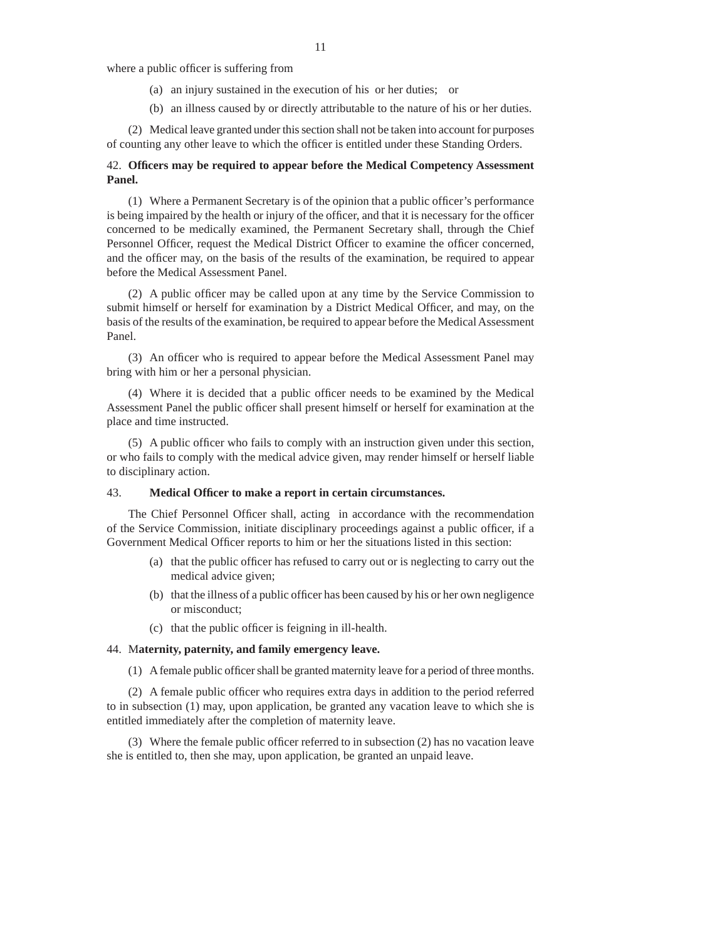where a public officer is suffering from

- (a) an injury sustained in the execution of his or her duties; or
- (b) an illness caused by or directly attributable to the nature of his or her duties.

(2) Medical leave granted under this section shall not be taken into account for purposes of counting any other leave to which the officer is entitled under these Standing Orders.

## 42. **Offi cers may be required to appear before the Medical Competency Assessment Panel.**

(1) Where a Permanent Secretary is of the opinion that a public officer's performance is being impaired by the health or injury of the officer, and that it is necessary for the officer concerned to be medically examined, the Permanent Secretary shall, through the Chief Personnel Officer, request the Medical District Officer to examine the officer concerned, and the officer may, on the basis of the results of the examination, be required to appear before the Medical Assessment Panel.

(2) A public officer may be called upon at any time by the Service Commission to submit himself or herself for examination by a District Medical Officer, and may, on the basis of the results of the examination, be required to appear before the Medical Assessment Panel.

(3) An officer who is required to appear before the Medical Assessment Panel may bring with him or her a personal physician.

(4) Where it is decided that a public officer needs to be examined by the Medical Assessment Panel the public officer shall present himself or herself for examination at the place and time instructed.

 $(5)$  A public officer who fails to comply with an instruction given under this section, or who fails to comply with the medical advice given, may render himself or herself liable to disciplinary action.

#### 43. **Medical Offi cer to make a report in certain circumstances.**

The Chief Personnel Officer shall, acting in accordance with the recommendation of the Service Commission, initiate disciplinary proceedings against a public officer, if a Government Medical Officer reports to him or her the situations listed in this section:

- (a) that the public officer has refused to carry out or is neglecting to carry out the medical advice given;
- (b) that the illness of a public officer has been caused by his or her own negligence or misconduct;
- $(c)$  that the public officer is feigning in ill-health.

### 44. M**aternity, paternity, and family emergency leave.**

(1) A female public officer shall be granted maternity leave for a period of three months.

 $(2)$  A female public officer who requires extra days in addition to the period referred to in subsection (1) may, upon application, be granted any vacation leave to which she is entitled immediately after the completion of maternity leave.

(3) Where the female public officer referred to in subsection  $(2)$  has no vacation leave she is entitled to, then she may, upon application, be granted an unpaid leave.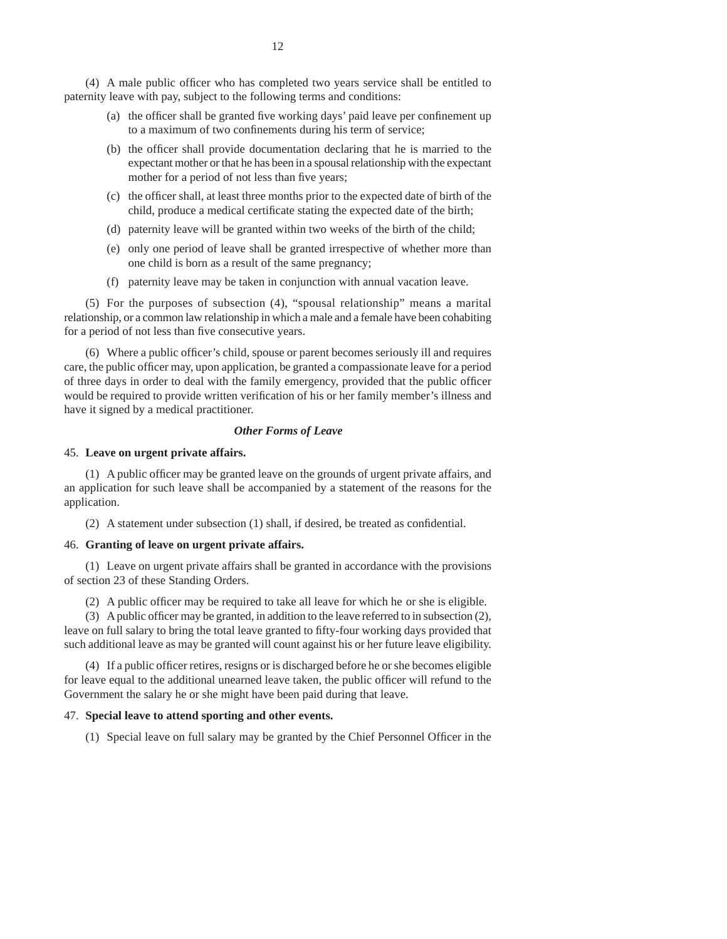(4) A male public officer who has completed two years service shall be entitled to paternity leave with pay, subject to the following terms and conditions:

- (a) the officer shall be granted five working days' paid leave per confinement up to a maximum of two confinements during his term of service;
- (b) the officer shall provide documentation declaring that he is married to the expectant mother or that he has been in a spousal relationship with the expectant mother for a period of not less than five years;
- (c) the officer shall, at least three months prior to the expected date of birth of the child, produce a medical certificate stating the expected date of the birth;
- (d) paternity leave will be granted within two weeks of the birth of the child;
- (e) only one period of leave shall be granted irrespective of whether more than one child is born as a result of the same pregnancy;
- (f) paternity leave may be taken in conjunction with annual vacation leave.

(5) For the purposes of subsection (4), "spousal relationship" means a marital relationship, or a common law relationship in which a male and a female have been cohabiting for a period of not less than five consecutive years.

(6) Where a public officer's child, spouse or parent becomes seriously ill and requires care, the public officer may, upon application, be granted a compassionate leave for a period of three days in order to deal with the family emergency, provided that the public officer would be required to provide written verification of his or her family member's illness and have it signed by a medical practitioner.

### *Other Forms of Leave*

#### 45. **Leave on urgent private affairs.**

(1) A public officer may be granted leave on the grounds of urgent private affairs, and an application for such leave shall be accompanied by a statement of the reasons for the application.

 $(2)$  A statement under subsection  $(1)$  shall, if desired, be treated as confidential.

### 46. **Granting of leave on urgent private affairs.**

(1) Leave on urgent private affairs shall be granted in accordance with the provisions of section 23 of these Standing Orders.

(2) A public officer may be required to take all leave for which he or she is eligible.

(3) A public officer may be granted, in addition to the leave referred to in subsection  $(2)$ , leave on full salary to bring the total leave granted to fifty-four working days provided that such additional leave as may be granted will count against his or her future leave eligibility.

 $(4)$  If a public officer retires, resigns or is discharged before he or she becomes eligible for leave equal to the additional unearned leave taken, the public officer will refund to the Government the salary he or she might have been paid during that leave.

#### 47. **Special leave to attend sporting and other events.**

(1) Special leave on full salary may be granted by the Chief Personnel Officer in the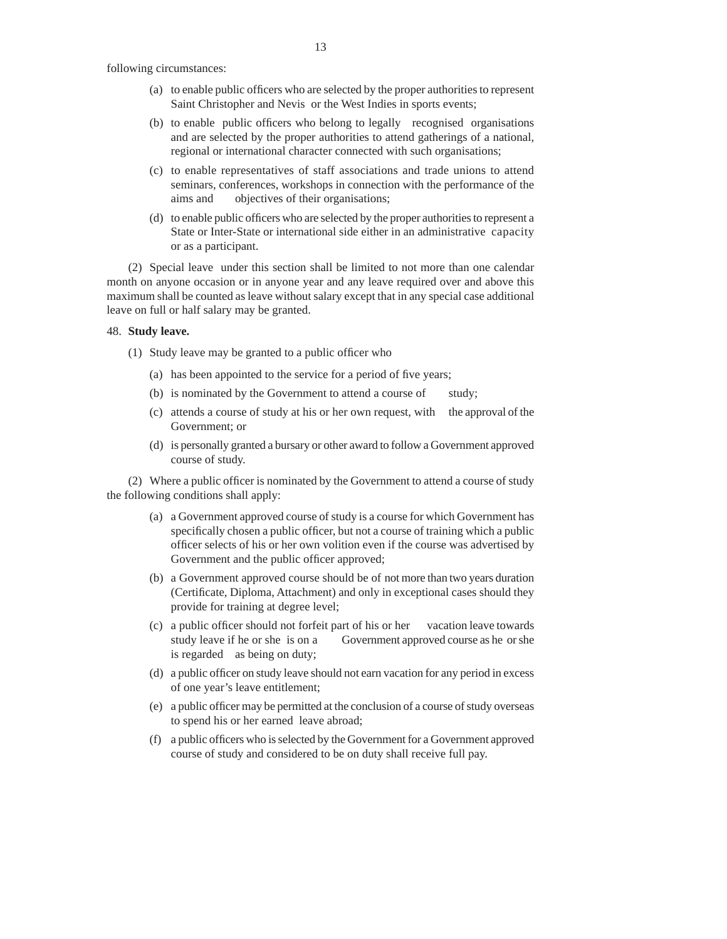following circumstances:

- (a) to enable public officers who are selected by the proper authorities to represent Saint Christopher and Nevis or the West Indies in sports events;
- (b) to enable public officers who belong to legally recognised organisations and are selected by the proper authorities to attend gatherings of a national, regional or international character connected with such organisations;
- (c) to enable representatives of staff associations and trade unions to attend seminars, conferences, workshops in connection with the performance of the aims and objectives of their organisations;
- (d) to enable public officers who are selected by the proper authorities to represent a State or Inter-State or international side either in an administrative capacity or as a participant.

(2) Special leave under this section shall be limited to not more than one calendar month on anyone occasion or in anyone year and any leave required over and above this maximum shall be counted as leave without salary except that in any special case additional leave on full or half salary may be granted.

#### 48. **Study leave.**

(1) Study leave may be granted to a public officer who

- (a) has been appointed to the service for a period of five years;
- (b) is nominated by the Government to attend a course of study;
- (c) attends a course of study at his or her own request, with the approval of the Government; or
- (d) is personally granted a bursary or other award to follow a Government approved course of study.

(2) Where a public officer is nominated by the Government to attend a course of study the following conditions shall apply:

- (a) a Government approved course of study is a course for which Government has specifically chosen a public officer, but not a course of training which a public officer selects of his or her own volition even if the course was advertised by Government and the public officer approved;
- (b) a Government approved course should be of not more than two years duration (Certificate, Diploma, Attachment) and only in exceptional cases should they provide for training at degree level;
- (c) a public officer should not forfeit part of his or her vacation leave towards study leave if he or she is on a Government approved course as he or she is regarded as being on duty;
- (d) a public officer on study leave should not earn vacation for any period in excess of one year's leave entitlement;
- (e) a public officer may be permitted at the conclusion of a course of study overseas to spend his or her earned leave abroad;
- (f) a public officers who is selected by the Government for a Government approved course of study and considered to be on duty shall receive full pay.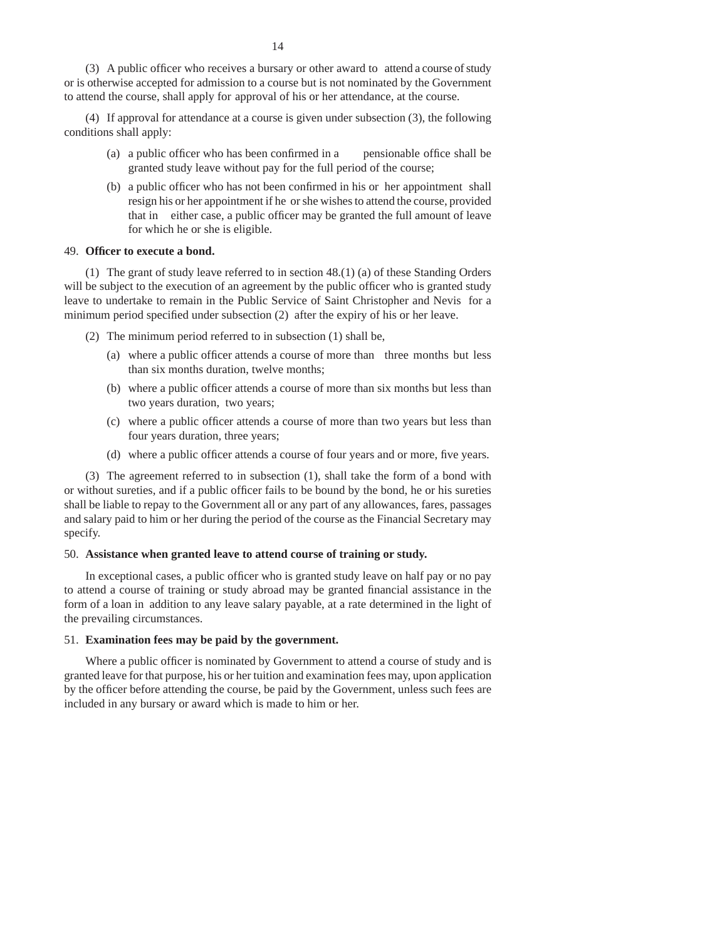(3) A public officer who receives a bursary or other award to attend a course of study or is otherwise accepted for admission to a course but is not nominated by the Government to attend the course, shall apply for approval of his or her attendance, at the course.

(4) If approval for attendance at a course is given under subsection (3), the following conditions shall apply:

- (a) a public officer who has been confirmed in a pensionable office shall be granted study leave without pay for the full period of the course;
- (b) a public officer who has not been confirmed in his or her appointment shall resign his or her appointment if he or she wishes to attend the course, provided that in either case, a public officer may be granted the full amount of leave for which he or she is eligible.

### 49. **Offi cer to execute a bond.**

(1) The grant of study leave referred to in section 48.(1) (a) of these Standing Orders will be subject to the execution of an agreement by the public officer who is granted study leave to undertake to remain in the Public Service of Saint Christopher and Nevis for a minimum period specified under subsection  $(2)$  after the expiry of his or her leave.

- (2) The minimum period referred to in subsection (1) shall be,
	- (a) where a public officer attends a course of more than three months but less than six months duration, twelve months;
	- (b) where a public officer attends a course of more than six months but less than two years duration, two years;
	- (c) where a public officer attends a course of more than two years but less than four years duration, three years;
	- (d) where a public officer attends a course of four years and or more, five years.

(3) The agreement referred to in subsection (1), shall take the form of a bond with or without sureties, and if a public officer fails to be bound by the bond, he or his sureties shall be liable to repay to the Government all or any part of any allowances, fares, passages and salary paid to him or her during the period of the course as the Financial Secretary may specify.

#### 50. **Assistance when granted leave to attend course of training or study.**

In exceptional cases, a public officer who is granted study leave on half pay or no pay to attend a course of training or study abroad may be granted financial assistance in the form of a loan in addition to any leave salary payable, at a rate determined in the light of the prevailing circumstances.

## 51. **Examination fees may be paid by the government.**

Where a public officer is nominated by Government to attend a course of study and is granted leave for that purpose, his or her tuition and examination fees may, upon application by the officer before attending the course, be paid by the Government, unless such fees are included in any bursary or award which is made to him or her.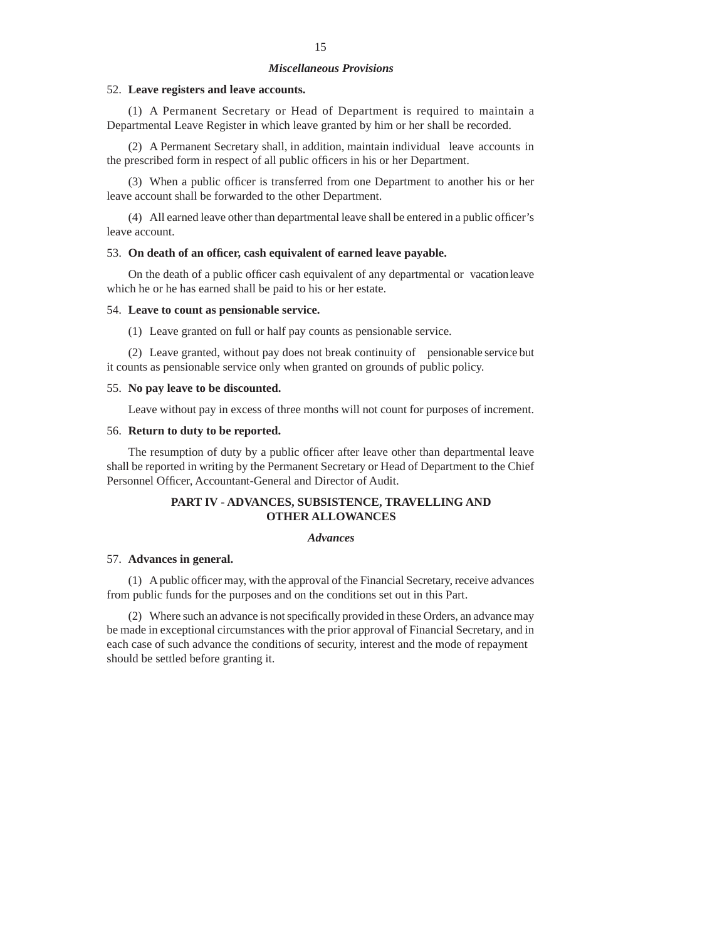### *Miscellaneous Provisions*

#### 52. **Leave registers and leave accounts.**

(1) A Permanent Secretary or Head of Department is required to maintain a Departmental Leave Register in which leave granted by him or her shall be recorded.

(2) A Permanent Secretary shall, in addition, maintain individual leave accounts in the prescribed form in respect of all public officers in his or her Department.

(3) When a public officer is transferred from one Department to another his or her leave account shall be forwarded to the other Department.

 $(4)$  All earned leave other than departmental leave shall be entered in a public officer's leave account.

#### 53. **On death of an offi cer, cash equivalent of earned leave payable.**

On the death of a public officer cash equivalent of any departmental or vacation leave which he or he has earned shall be paid to his or her estate.

#### 54. **Leave to count as pensionable service.**

(1) Leave granted on full or half pay counts as pensionable service.

(2) Leave granted, without pay does not break continuity of pensionable service but it counts as pensionable service only when granted on grounds of public policy.

#### 55. **No pay leave to be discounted.**

Leave without pay in excess of three months will not count for purposes of increment.

#### 56. **Return to duty to be reported.**

The resumption of duty by a public officer after leave other than departmental leave shall be reported in writing by the Permanent Secretary or Head of Department to the Chief Personnel Officer, Accountant-General and Director of Audit.

## **PART IV - ADVANCES, SUBSISTENCE, TRAVELLING AND OTHER ALLOWANCES**

#### *Advances*

#### 57. **Advances in general.**

(1) A public officer may, with the approval of the Financial Secretary, receive advances from public funds for the purposes and on the conditions set out in this Part.

(2) Where such an advance is not specifically provided in these Orders, an advance may be made in exceptional circumstances with the prior approval of Financial Secretary, and in each case of such advance the conditions of security, interest and the mode of repayment should be settled before granting it.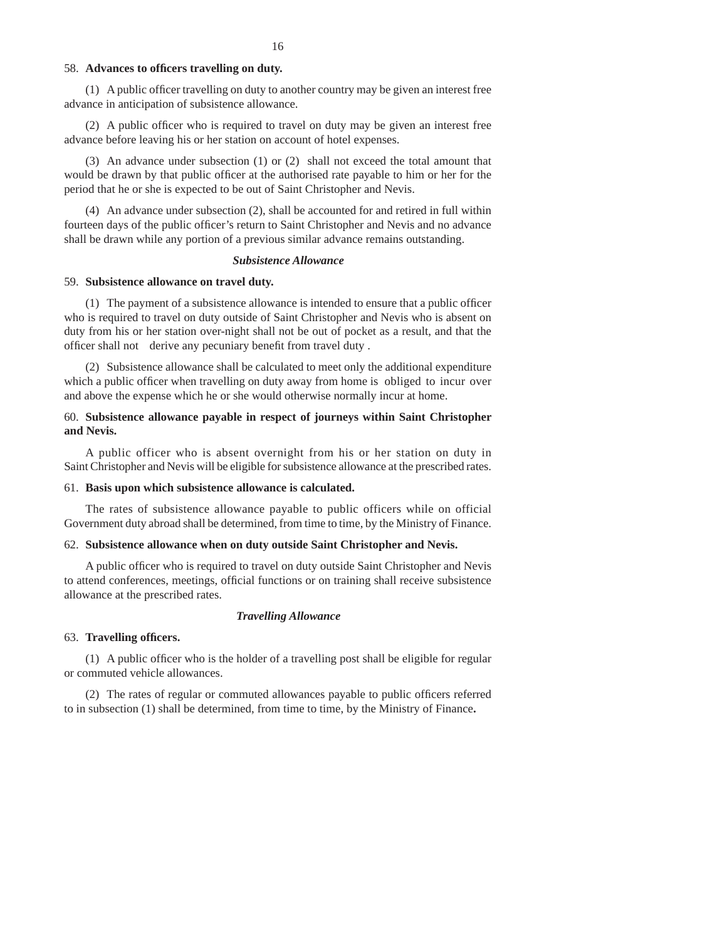#### 58. **Advances to offi cers travelling on duty.**

(1) A public officer travelling on duty to another country may be given an interest free advance in anticipation of subsistence allowance.

 $(2)$  A public officer who is required to travel on duty may be given an interest free advance before leaving his or her station on account of hotel expenses.

(3) An advance under subsection (1) or (2) shall not exceed the total amount that would be drawn by that public officer at the authorised rate payable to him or her for the period that he or she is expected to be out of Saint Christopher and Nevis.

(4) An advance under subsection (2), shall be accounted for and retired in full within fourteen days of the public officer's return to Saint Christopher and Nevis and no advance shall be drawn while any portion of a previous similar advance remains outstanding.

### *Subsistence Allowance*

#### 59. **Subsistence allowance on travel duty.**

 $(1)$  The payment of a subsistence allowance is intended to ensure that a public officer who is required to travel on duty outside of Saint Christopher and Nevis who is absent on duty from his or her station over-night shall not be out of pocket as a result, and that the officer shall not derive any pecuniary benefit from travel duty.

(2) Subsistence allowance shall be calculated to meet only the additional expenditure which a public officer when travelling on duty away from home is obliged to incur over and above the expense which he or she would otherwise normally incur at home.

## 60. **Subsistence allowance payable in respect of journeys within Saint Christopher and Nevis.**

A public officer who is absent overnight from his or her station on duty in Saint Christopher and Nevis will be eligible for subsistence allowance at the prescribed rates.

### 61. **Basis upon which subsistence allowance is calculated.**

The rates of subsistence allowance payable to public officers while on official Government duty abroad shall be determined, from time to time, by the Ministry of Finance.

### 62. **Subsistence allowance when on duty outside Saint Christopher and Nevis.**

A public officer who is required to travel on duty outside Saint Christopher and Nevis to attend conferences, meetings, official functions or on training shall receive subsistence allowance at the prescribed rates.

#### *Travelling Allowance*

#### 63. **Travelling offi cers.**

(1) A public officer who is the holder of a travelling post shall be eligible for regular or commuted vehicle allowances.

 $(2)$  The rates of regular or commuted allowances payable to public officers referred to in subsection (1) shall be determined, from time to time, by the Ministry of Finance**.**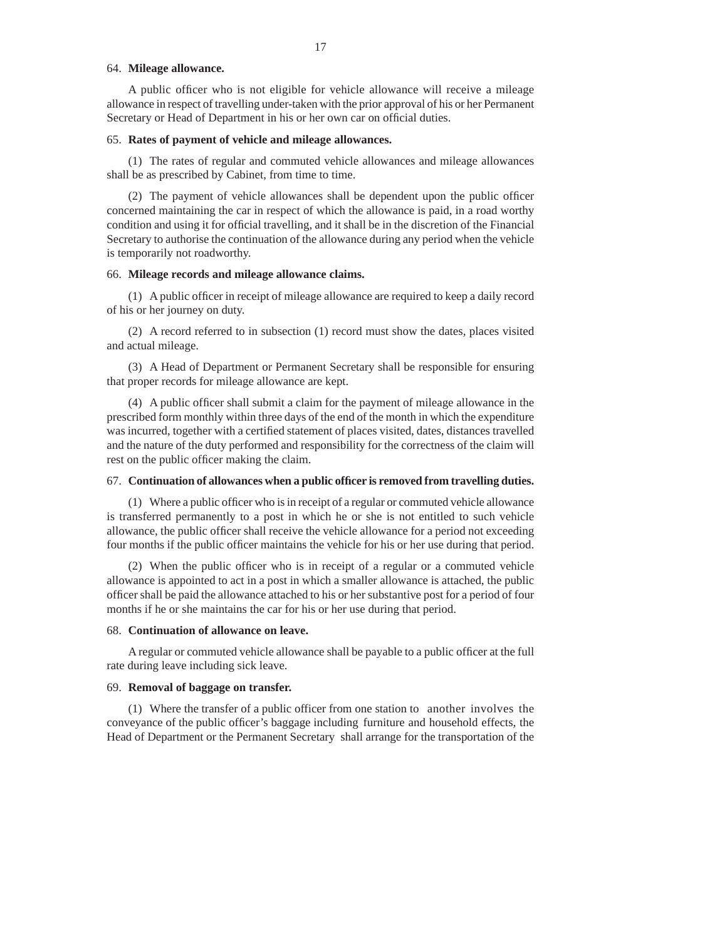#### 64. **Mileage allowance.**

A public officer who is not eligible for vehicle allowance will receive a mileage allowance in respect of travelling under-taken with the prior approval of his or her Permanent Secretary or Head of Department in his or her own car on official duties.

#### 65. **Rates of payment of vehicle and mileage allowances.**

(1) The rates of regular and commuted vehicle allowances and mileage allowances shall be as prescribed by Cabinet, from time to time.

(2) The payment of vehicle allowances shall be dependent upon the public officer concerned maintaining the car in respect of which the allowance is paid, in a road worthy condition and using it for official travelling, and it shall be in the discretion of the Financial Secretary to authorise the continuation of the allowance during any period when the vehicle is temporarily not roadworthy.

#### 66. **Mileage records and mileage allowance claims.**

 $(1)$  A public officer in receipt of mileage allowance are required to keep a daily record of his or her journey on duty.

(2) A record referred to in subsection (1) record must show the dates, places visited and actual mileage.

(3) A Head of Department or Permanent Secretary shall be responsible for ensuring that proper records for mileage allowance are kept.

 $(4)$  A public officer shall submit a claim for the payment of mileage allowance in the prescribed form monthly within three days of the end of the month in which the expenditure was incurred, together with a certified statement of places visited, dates, distances travelled and the nature of the duty performed and responsibility for the correctness of the claim will rest on the public officer making the claim.

### 67. **Continuation of allowances when a public offi cer is removed from travelling duties.**

(1) Where a public officer who is in receipt of a regular or commuted vehicle allowance is transferred permanently to a post in which he or she is not entitled to such vehicle allowance, the public officer shall receive the vehicle allowance for a period not exceeding four months if the public officer maintains the vehicle for his or her use during that period.

 $(2)$  When the public officer who is in receipt of a regular or a commuted vehicle allowance is appointed to act in a post in which a smaller allowance is attached, the public officer shall be paid the allowance attached to his or her substantive post for a period of four months if he or she maintains the car for his or her use during that period.

#### 68. **Continuation of allowance on leave.**

A regular or commuted vehicle allowance shall be payable to a public officer at the full rate during leave including sick leave.

#### 69. **Removal of baggage on transfer.**

(1) Where the transfer of a public officer from one station to another involves the conveyance of the public officer's baggage including furniture and household effects, the Head of Department or the Permanent Secretary shall arrange for the transportation of the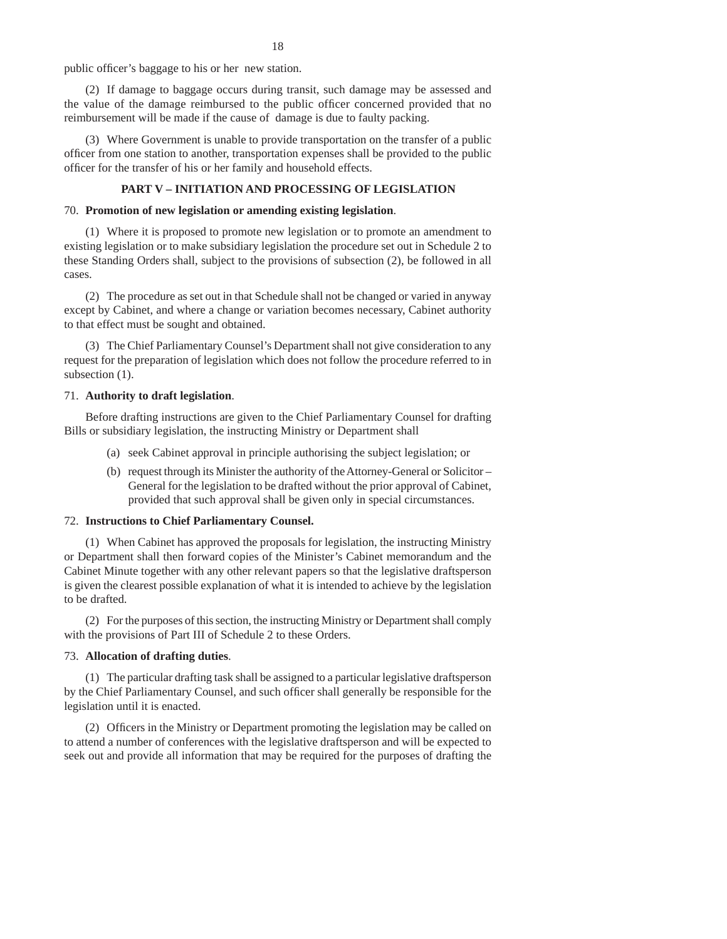public officer's baggage to his or her new station.

(2) If damage to baggage occurs during transit, such damage may be assessed and the value of the damage reimbursed to the public officer concerned provided that no reimbursement will be made if the cause of damage is due to faulty packing.

(3) Where Government is unable to provide transportation on the transfer of a public officer from one station to another, transportation expenses shall be provided to the public officer for the transfer of his or her family and household effects.

## **PART V – INITIATION AND PROCESSING OF LEGISLATION**

#### 70. **Promotion of new legislation or amending existing legislation**.

(1) Where it is proposed to promote new legislation or to promote an amendment to existing legislation or to make subsidiary legislation the procedure set out in Schedule 2 to these Standing Orders shall, subject to the provisions of subsection (2), be followed in all cases.

(2) The procedure as set out in that Schedule shall not be changed or varied in anyway except by Cabinet, and where a change or variation becomes necessary, Cabinet authority to that effect must be sought and obtained.

(3) The Chief Parliamentary Counsel's Department shall not give consideration to any request for the preparation of legislation which does not follow the procedure referred to in subsection  $(1)$ .

### 71. **Authority to draft legislation**.

Before drafting instructions are given to the Chief Parliamentary Counsel for drafting Bills or subsidiary legislation, the instructing Ministry or Department shall

- (a) seek Cabinet approval in principle authorising the subject legislation; or
- (b) request through its Minister the authority of the Attorney-General or Solicitor General for the legislation to be drafted without the prior approval of Cabinet, provided that such approval shall be given only in special circumstances.

#### 72. **Instructions to Chief Parliamentary Counsel.**

(1) When Cabinet has approved the proposals for legislation, the instructing Ministry or Department shall then forward copies of the Minister's Cabinet memorandum and the Cabinet Minute together with any other relevant papers so that the legislative draftsperson is given the clearest possible explanation of what it is intended to achieve by the legislation to be drafted.

(2) For the purposes of this section, the instructing Ministry or Department shall comply with the provisions of Part III of Schedule 2 to these Orders.

#### 73. **Allocation of drafting duties**.

(1) The particular drafting task shall be assigned to a particular legislative draftsperson by the Chief Parliamentary Counsel, and such officer shall generally be responsible for the legislation until it is enacted.

(2) Officers in the Ministry or Department promoting the legislation may be called on to attend a number of conferences with the legislative draftsperson and will be expected to seek out and provide all information that may be required for the purposes of drafting the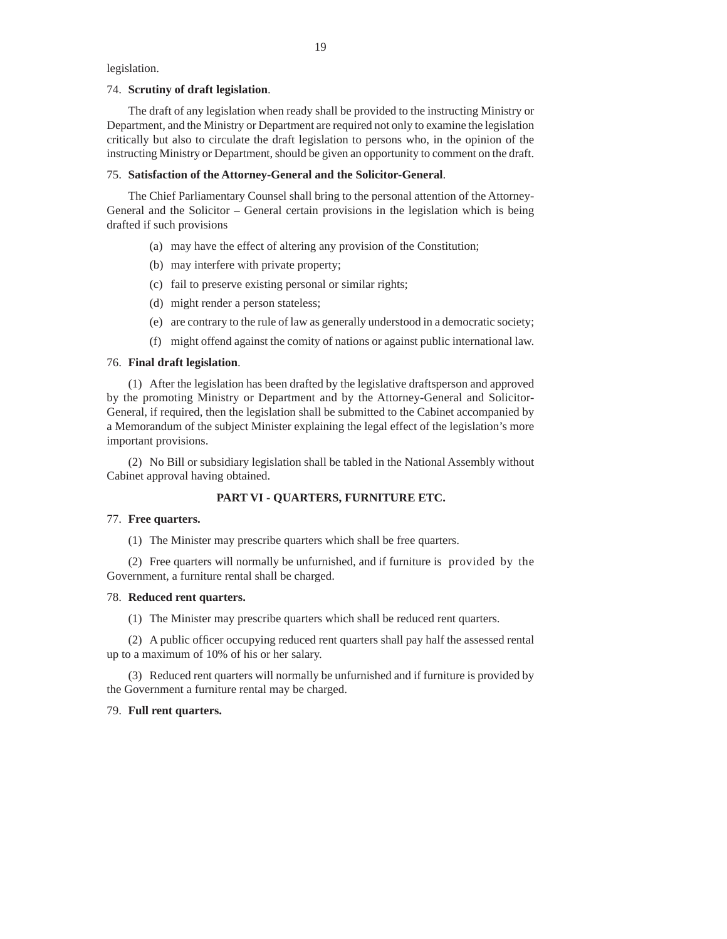legislation.

#### 74. **Scrutiny of draft legislation**.

The draft of any legislation when ready shall be provided to the instructing Ministry or Department, and the Ministry or Department are required not only to examine the legislation critically but also to circulate the draft legislation to persons who, in the opinion of the instructing Ministry or Department, should be given an opportunity to comment on the draft.

#### 75. **Satisfaction of the Attorney-General and the Solicitor-General**.

The Chief Parliamentary Counsel shall bring to the personal attention of the Attorney-General and the Solicitor – General certain provisions in the legislation which is being drafted if such provisions

- (a) may have the effect of altering any provision of the Constitution;
- (b) may interfere with private property;
- (c) fail to preserve existing personal or similar rights;
- (d) might render a person stateless;
- (e) are contrary to the rule of law as generally understood in a democratic society;
- (f) might offend against the comity of nations or against public international law.

### 76. **Final draft legislation**.

(1) After the legislation has been drafted by the legislative draftsperson and approved by the promoting Ministry or Department and by the Attorney-General and Solicitor-General, if required, then the legislation shall be submitted to the Cabinet accompanied by a Memorandum of the subject Minister explaining the legal effect of the legislation's more important provisions.

(2) No Bill or subsidiary legislation shall be tabled in the National Assembly without Cabinet approval having obtained.

## **PART VI - QUARTERS, FURNITURE ETC.**

#### 77. **Free quarters.**

(1) The Minister may prescribe quarters which shall be free quarters.

(2) Free quarters will normally be unfurnished, and if furniture is provided by the Government, a furniture rental shall be charged.

#### 78. **Reduced rent quarters.**

(1) The Minister may prescribe quarters which shall be reduced rent quarters.

(2) A public officer occupying reduced rent quarters shall pay half the assessed rental up to a maximum of 10% of his or her salary.

(3) Reduced rent quarters will normally be unfurnished and if furniture is provided by the Government a furniture rental may be charged.

### 79. **Full rent quarters.**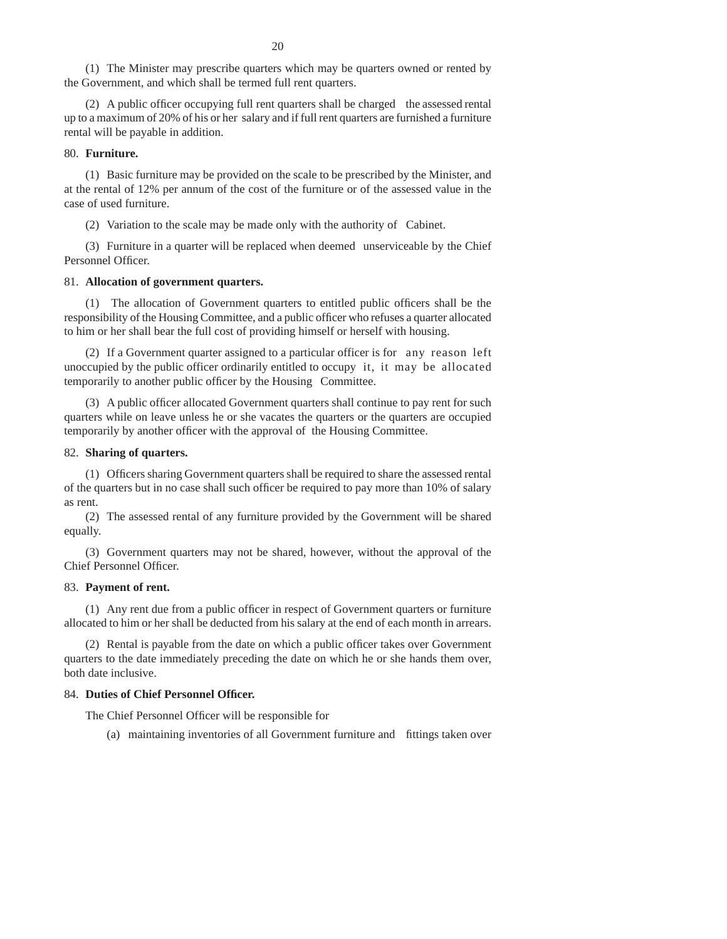(1) The Minister may prescribe quarters which may be quarters owned or rented by the Government, and which shall be termed full rent quarters.

(2) A public officer occupying full rent quarters shall be charged the assessed rental up to a maximum of 20% of his or her salary and if full rent quarters are furnished a furniture rental will be payable in addition.

### 80. **Furniture.**

(1) Basic furniture may be provided on the scale to be prescribed by the Minister, and at the rental of 12% per annum of the cost of the furniture or of the assessed value in the case of used furniture.

(2) Variation to the scale may be made only with the authority of Cabinet.

(3) Furniture in a quarter will be replaced when deemed unserviceable by the Chief Personnel Officer.

### 81. **Allocation of government quarters.**

 $(1)$  The allocation of Government quarters to entitled public officers shall be the responsibility of the Housing Committee, and a public officer who refuses a quarter allocated to him or her shall bear the full cost of providing himself or herself with housing.

(2) If a Government quarter assigned to a particular officer is for any reason left unoccupied by the public officer ordinarily entitled to occupy it, it may be allocated temporarily to another public officer by the Housing Committee.

(3) A public officer allocated Government quarters shall continue to pay rent for such quarters while on leave unless he or she vacates the quarters or the quarters are occupied temporarily by another officer with the approval of the Housing Committee.

### 82. **Sharing of quarters.**

(1) Officers sharing Government quarters shall be required to share the assessed rental of the quarters but in no case shall such officer be required to pay more than 10% of salary as rent.

(2) The assessed rental of any furniture provided by the Government will be shared equally.

(3) Government quarters may not be shared, however, without the approval of the Chief Personnel Officer.

#### 83. **Payment of rent.**

 $(1)$  Any rent due from a public officer in respect of Government quarters or furniture allocated to him or her shall be deducted from his salary at the end of each month in arrears.

 $(2)$  Rental is payable from the date on which a public officer takes over Government quarters to the date immediately preceding the date on which he or she hands them over, both date inclusive.

## 84. Duties of Chief Personnel Officer.

The Chief Personnel Officer will be responsible for

(a) maintaining inventories of all Government furniture and fittings taken over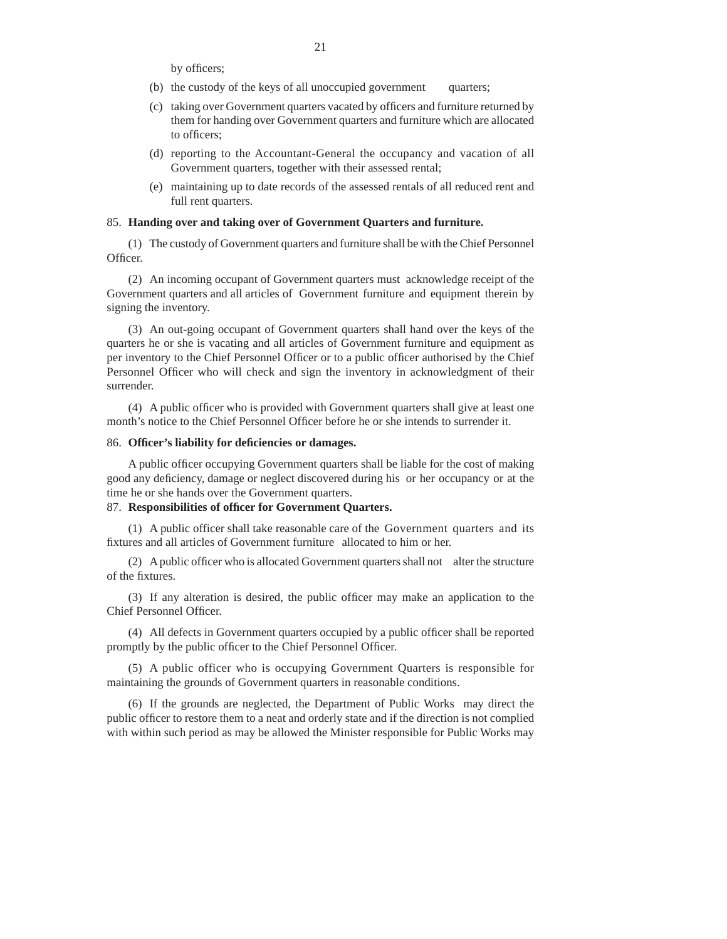- (b) the custody of the keys of all unoccupied government quarters;
- (c) taking over Government quarters vacated by officers and furniture returned by them for handing over Government quarters and furniture which are allocated to officers:
- (d) reporting to the Accountant-General the occupancy and vacation of all Government quarters, together with their assessed rental;
- (e) maintaining up to date records of the assessed rentals of all reduced rent and full rent quarters.

#### 85. **Handing over and taking over of Government Quarters and furniture.**

(1) The custody of Government quarters and furniture shall be with the Chief Personnel Officer.

(2) An incoming occupant of Government quarters must acknowledge receipt of the Government quarters and all articles of Government furniture and equipment therein by signing the inventory.

(3) An out-going occupant of Government quarters shall hand over the keys of the quarters he or she is vacating and all articles of Government furniture and equipment as per inventory to the Chief Personnel Officer or to a public officer authorised by the Chief Personnel Officer who will check and sign the inventory in acknowledgment of their surrender.

 $(4)$  A public officer who is provided with Government quarters shall give at least one month's notice to the Chief Personnel Officer before he or she intends to surrender it.

#### 86. **Offi cer's liability for defi ciencies or damages.**

A public officer occupying Government quarters shall be liable for the cost of making good any deficiency, damage or neglect discovered during his or her occupancy or at the time he or she hands over the Government quarters.

## 87. Responsibilities of officer for Government Quarters.

(1) A public officer shall take reasonable care of the Government quarters and its fixtures and all articles of Government furniture allocated to him or her.

(2) A public officer who is allocated Government quarters shall not alter the structure of the fixtures.

 $(3)$  If any alteration is desired, the public officer may make an application to the Chief Personnel Officer.

(4) All defects in Government quarters occupied by a public officer shall be reported promptly by the public officer to the Chief Personnel Officer.

(5) A public officer who is occupying Government Quarters is responsible for maintaining the grounds of Government quarters in reasonable conditions.

(6) If the grounds are neglected, the Department of Public Works may direct the public officer to restore them to a neat and orderly state and if the direction is not complied with within such period as may be allowed the Minister responsible for Public Works may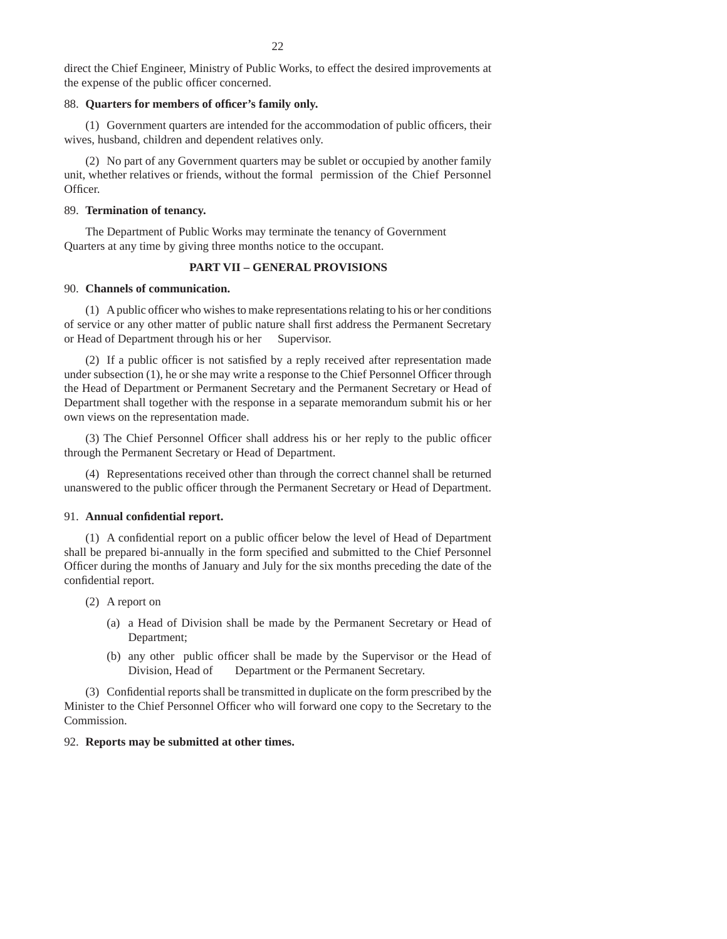direct the Chief Engineer, Ministry of Public Works, to effect the desired improvements at the expense of the public officer concerned.

#### 88. Quarters for members of officer's family only.

 $(1)$  Government quarters are intended for the accommodation of public officers, their wives, husband, children and dependent relatives only.

(2) No part of any Government quarters may be sublet or occupied by another family unit, whether relatives or friends, without the formal permission of the Chief Personnel Officer.

#### 89. **Termination of tenancy.**

The Department of Public Works may terminate the tenancy of Government Quarters at any time by giving three months notice to the occupant.

## **PART VII – GENERAL PROVISIONS**

### 90. **Channels of communication.**

(1) A public officer who wishes to make representations relating to his or her conditions of service or any other matter of public nature shall first address the Permanent Secretary or Head of Department through his or her Supervisor.

 $(2)$  If a public officer is not satisfied by a reply received after representation made under subsection  $(1)$ , he or she may write a response to the Chief Personnel Officer through the Head of Department or Permanent Secretary and the Permanent Secretary or Head of Department shall together with the response in a separate memorandum submit his or her own views on the representation made.

(3) The Chief Personnel Officer shall address his or her reply to the public officer through the Permanent Secretary or Head of Department.

(4) Representations received other than through the correct channel shall be returned unanswered to the public officer through the Permanent Secretary or Head of Department.

#### 91. Annual confidential report.

 $(1)$  A confidential report on a public officer below the level of Head of Department shall be prepared bi-annually in the form specified and submitted to the Chief Personnel Officer during the months of January and July for the six months preceding the date of the confidential report.

- (2) A report on
	- (a) a Head of Division shall be made by the Permanent Secretary or Head of Department;
	- (b) any other public officer shall be made by the Supervisor or the Head of Division, Head of Department or the Permanent Secretary.

(3) Confidential reports shall be transmitted in duplicate on the form prescribed by the Minister to the Chief Personnel Officer who will forward one copy to the Secretary to the Commission.

### 92. **Reports may be submitted at other times.**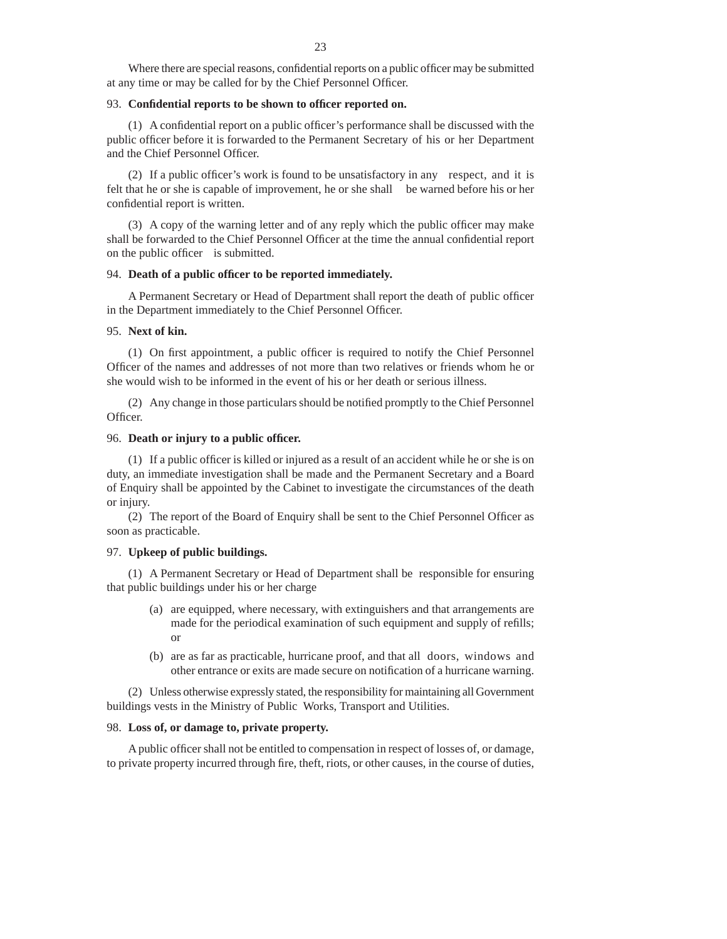Where there are special reasons, confidential reports on a public officer may be submitted at any time or may be called for by the Chief Personnel Officer.

#### 93. Confidential reports to be shown to officer reported on.

 $(1)$  A confidential report on a public officer's performance shall be discussed with the public officer before it is forwarded to the Permanent Secretary of his or her Department and the Chief Personnel Officer.

(2) If a public officer's work is found to be unsatisfactory in any respect, and it is felt that he or she is capable of improvement, he or she shall be warned before his or her confidential report is written.

 $(3)$  A copy of the warning letter and of any reply which the public officer may make shall be forwarded to the Chief Personnel Officer at the time the annual confidential report on the public officer is submitted.

#### 94. Death of a public officer to be reported immediately.

A Permanent Secretary or Head of Department shall report the death of public officer in the Department immediately to the Chief Personnel Officer.

### 95. **Next of kin.**

 $(1)$  On first appointment, a public officer is required to notify the Chief Personnel Officer of the names and addresses of not more than two relatives or friends whom he or she would wish to be informed in the event of his or her death or serious illness.

(2) Any change in those particulars should be notified promptly to the Chief Personnel Officer.

#### 96. **Death or injury to a public officer.**

(1) If a public officer is killed or injured as a result of an accident while he or she is on duty, an immediate investigation shall be made and the Permanent Secretary and a Board of Enquiry shall be appointed by the Cabinet to investigate the circumstances of the death or injury.

(2) The report of the Board of Enquiry shall be sent to the Chief Personnel Officer as soon as practicable.

#### 97. **Upkeep of public buildings.**

(1) A Permanent Secretary or Head of Department shall be responsible for ensuring that public buildings under his or her charge

- (a) are equipped, where necessary, with extinguishers and that arrangements are made for the periodical examination of such equipment and supply of refills; or
- (b) are as far as practicable, hurricane proof, and that all doors, windows and other entrance or exits are made secure on notification of a hurricane warning.

(2) Unless otherwise expressly stated, the responsibility for maintaining all Government buildings vests in the Ministry of Public Works, Transport and Utilities.

#### 98. **Loss of, or damage to, private property.**

A public officer shall not be entitled to compensation in respect of losses of, or damage, to private property incurred through fire, theft, riots, or other causes, in the course of duties,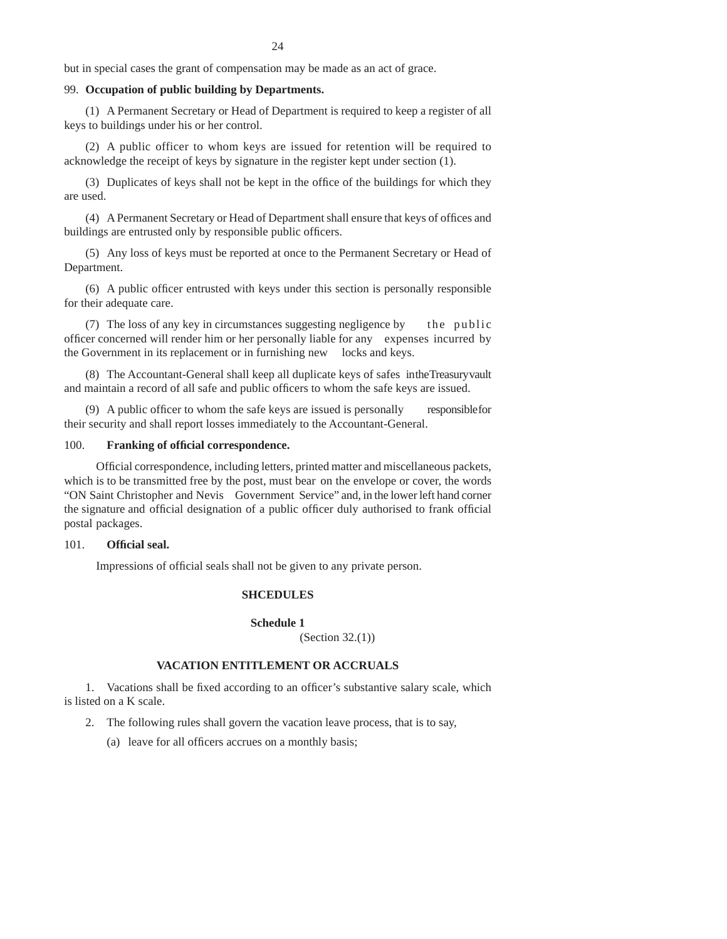but in special cases the grant of compensation may be made as an act of grace.

## 99. **Occupation of public building by Departments.**

(1) A Permanent Secretary or Head of Department is required to keep a register of all keys to buildings under his or her control.

(2) A public officer to whom keys are issued for retention will be required to acknowledge the receipt of keys by signature in the register kept under section (1).

(3) Duplicates of keys shall not be kept in the office of the buildings for which they are used.

(4) A Permanent Secretary or Head of Department shall ensure that keys of offices and buildings are entrusted only by responsible public officers.

(5) Any loss of keys must be reported at once to the Permanent Secretary or Head of Department.

 $(6)$  A public officer entrusted with keys under this section is personally responsible for their adequate care.

(7) The loss of any key in circumstances suggesting negligence by the public officer concerned will render him or her personally liable for any expenses incurred by the Government in its replacement or in furnishing new locks and keys.

(8) The Accountant-General shall keep all duplicate keys of safes in the Treasury vault and maintain a record of all safe and public officers to whom the safe keys are issued.

(9) A public officer to whom the safe keys are issued is personally responsible for their security and shall report losses immediately to the Accountant-General.

#### 100. **Franking of official correspondence.**

Official correspondence, including letters, printed matter and miscellaneous packets, which is to be transmitted free by the post, must bear on the envelope or cover, the words "ON Saint Christopher and Nevis Government Service" and, in the lower left hand corner the signature and official designation of a public officer duly authorised to frank official postal packages.

### 101. **Official seal.**

Impressions of official seals shall not be given to any private person.

#### **SHCEDULES**

**Schedule 1**

(Section 32.(1))

## **VACATION ENTITLEMENT OR ACCRUALS**

1. Vacations shall be fixed according to an officer's substantive salary scale, which is listed on a K scale.

2. The following rules shall govern the vacation leave process, that is to say,

(a) leave for all officers accrues on a monthly basis;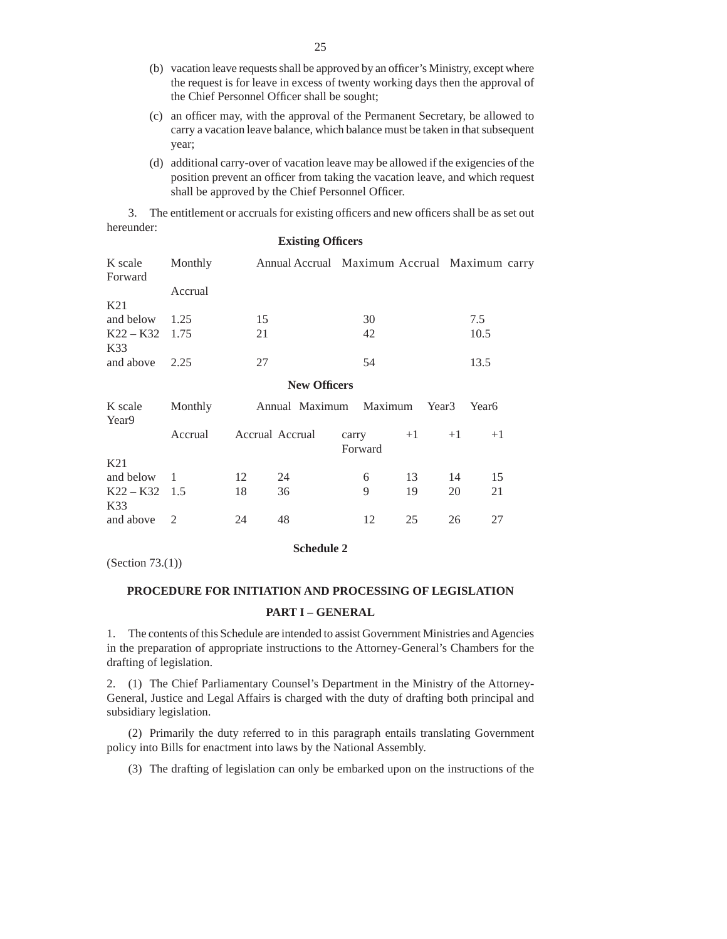- (b) vacation leave requests shall be approved by an officer's Ministry, except where the request is for leave in excess of twenty working days then the approval of the Chief Personnel Officer shall be sought;
- (c) an officer may, with the approval of the Permanent Secretary, be allowed to carry a vacation leave balance, which balance must be taken in that subsequent year;
- (d) additional carry-over of vacation leave may be allowed if the exigencies of the position prevent an officer from taking the vacation leave, and which request shall be approved by the Chief Personnel Officer.

3. The entitlement or accruals for existing officers and new officers shall be as set out hereunder: **Existing Officers** 

| K scale<br>Forward      | Monthly<br>Accrual |    | Annual Accrual Maximum Accrual Maximum carry |      |
|-------------------------|--------------------|----|----------------------------------------------|------|
| K21                     |                    |    |                                              |      |
| and below               | 1.25               | 15 | 30                                           | 7.5  |
| $K22 - K32$ 1.75<br>K33 |                    | 21 | 42                                           | 10.5 |
| and above $2.25$        |                    | 27 | 54                                           | 13.5 |

### **New Offi cers**

| K scale<br>Year <sub>9</sub> | Monthly |    | Annual Maximum Maximum |                  |      | Year <sub>3</sub> | Year <sub>6</sub> |
|------------------------------|---------|----|------------------------|------------------|------|-------------------|-------------------|
|                              | Accrual |    | Accrual Accrual        | carry<br>Forward | $+1$ | $+1$              | $+1$              |
| K21                          |         |    |                        |                  |      |                   |                   |
| and below                    |         | 12 | 24                     | 6                | 13   | 14                | 15                |
| $K22 - K32$ 1.5<br>K33       |         | 18 | 36                     | 9                | 19   | 20                | 21                |
| and above                    | - 2     | 24 | 48                     | 12               | 25   | 26                | 27                |

## **Schedule 2**

(Section 73.(1))

# **PROCEDURE FOR INITIATION AND PROCESSING OF LEGISLATION**

# **PART I – GENERAL**

1. The contents of this Schedule are intended to assist Government Ministries and Agencies in the preparation of appropriate instructions to the Attorney-General's Chambers for the drafting of legislation.

2. (1) The Chief Parliamentary Counsel's Department in the Ministry of the Attorney-General, Justice and Legal Affairs is charged with the duty of drafting both principal and subsidiary legislation.

 (2) Primarily the duty referred to in this paragraph entails translating Government policy into Bills for enactment into laws by the National Assembly.

(3) The drafting of legislation can only be embarked upon on the instructions of the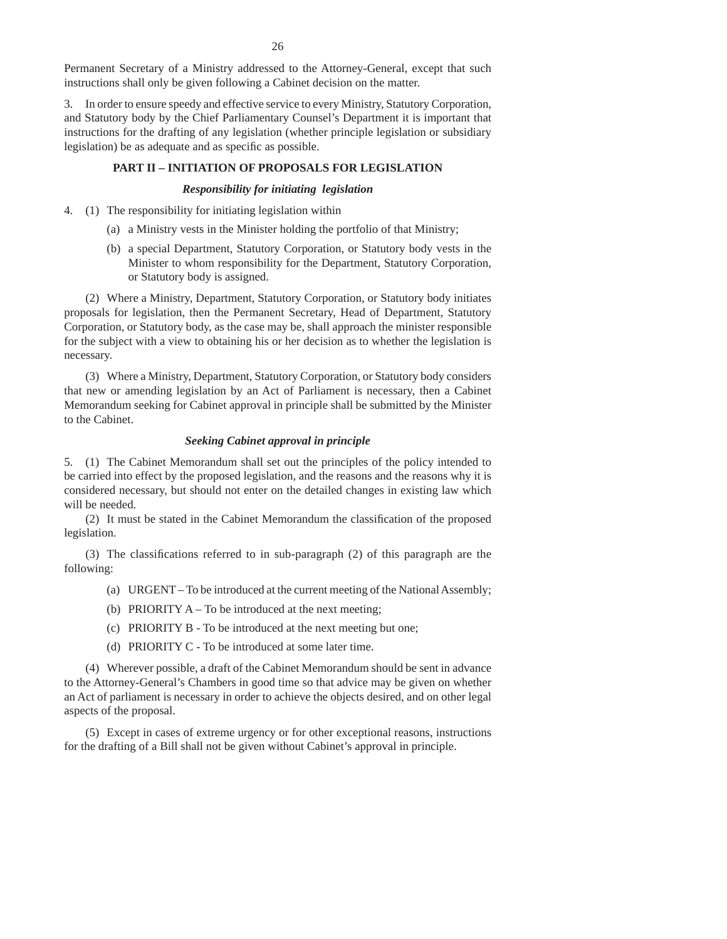Permanent Secretary of a Ministry addressed to the Attorney-General, except that such instructions shall only be given following a Cabinet decision on the matter.

3. In order to ensure speedy and effective service to every Ministry, Statutory Corporation, and Statutory body by the Chief Parliamentary Counsel's Department it is important that instructions for the drafting of any legislation (whether principle legislation or subsidiary legislation) be as adequate and as specific as possible.

#### **PART II – INITIATION OF PROPOSALS FOR LEGISLATION**

### *Responsibility for initiating legislation*

- 4. (1) The responsibility for initiating legislation within
	- (a) a Ministry vests in the Minister holding the portfolio of that Ministry;
	- (b) a special Department, Statutory Corporation, or Statutory body vests in the Minister to whom responsibility for the Department, Statutory Corporation, or Statutory body is assigned.

 (2) Where a Ministry, Department, Statutory Corporation, or Statutory body initiates proposals for legislation, then the Permanent Secretary, Head of Department, Statutory Corporation, or Statutory body, as the case may be, shall approach the minister responsible for the subject with a view to obtaining his or her decision as to whether the legislation is necessary.

 (3) Where a Ministry, Department, Statutory Corporation, or Statutory body considers that new or amending legislation by an Act of Parliament is necessary, then a Cabinet Memorandum seeking for Cabinet approval in principle shall be submitted by the Minister to the Cabinet.

### *Seeking Cabinet approval in principle*

5. (1) The Cabinet Memorandum shall set out the principles of the policy intended to be carried into effect by the proposed legislation, and the reasons and the reasons why it is considered necessary, but should not enter on the detailed changes in existing law which will be needed.

(2) It must be stated in the Cabinet Memorandum the classification of the proposed legislation.

(3) The classifications referred to in sub-paragraph  $(2)$  of this paragraph are the following:

- (a) URGENT To be introduced at the current meeting of the National Assembly;
- (b) PRIORITY  $A To$  be introduced at the next meeting;
- (c) PRIORITY B To be introduced at the next meeting but one;
- (d) PRIORITY C To be introduced at some later time.

 (4) Wherever possible, a draft of the Cabinet Memorandum should be sent in advance to the Attorney-General's Chambers in good time so that advice may be given on whether an Act of parliament is necessary in order to achieve the objects desired, and on other legal aspects of the proposal.

 (5) Except in cases of extreme urgency or for other exceptional reasons, instructions for the drafting of a Bill shall not be given without Cabinet's approval in principle.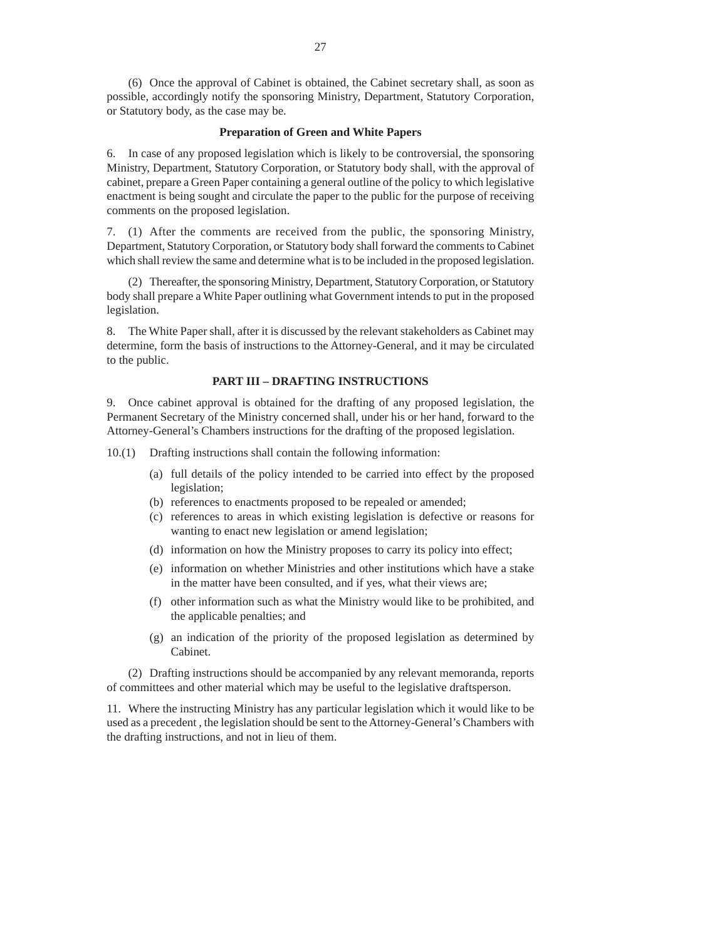(6) Once the approval of Cabinet is obtained, the Cabinet secretary shall, as soon as possible, accordingly notify the sponsoring Ministry, Department, Statutory Corporation, or Statutory body, as the case may be.

#### **Preparation of Green and White Papers**

6. In case of any proposed legislation which is likely to be controversial, the sponsoring Ministry, Department, Statutory Corporation, or Statutory body shall, with the approval of cabinet, prepare a Green Paper containing a general outline of the policy to which legislative enactment is being sought and circulate the paper to the public for the purpose of receiving comments on the proposed legislation.

7. (1) After the comments are received from the public, the sponsoring Ministry, Department, Statutory Corporation, or Statutory body shall forward the comments to Cabinet which shall review the same and determine what is to be included in the proposed legislation.

 (2) Thereafter, the sponsoring Ministry, Department, Statutory Corporation, or Statutory body shall prepare a White Paper outlining what Government intends to put in the proposed legislation.

8. The White Paper shall, after it is discussed by the relevant stakeholders as Cabinet may determine, form the basis of instructions to the Attorney-General, and it may be circulated to the public.

#### **PART III – DRAFTING INSTRUCTIONS**

9. Once cabinet approval is obtained for the drafting of any proposed legislation, the Permanent Secretary of the Ministry concerned shall, under his or her hand, forward to the Attorney-General's Chambers instructions for the drafting of the proposed legislation.

10.(1) Drafting instructions shall contain the following information:

- (a) full details of the policy intended to be carried into effect by the proposed legislation;
- (b) references to enactments proposed to be repealed or amended;
- (c) references to areas in which existing legislation is defective or reasons for wanting to enact new legislation or amend legislation;
- (d) information on how the Ministry proposes to carry its policy into effect;
- (e) information on whether Ministries and other institutions which have a stake in the matter have been consulted, and if yes, what their views are;
- (f) other information such as what the Ministry would like to be prohibited, and the applicable penalties; and
- (g) an indication of the priority of the proposed legislation as determined by Cabinet.

 (2) Drafting instructions should be accompanied by any relevant memoranda, reports of committees and other material which may be useful to the legislative draftsperson.

11. Where the instructing Ministry has any particular legislation which it would like to be used as a precedent , the legislation should be sent to the Attorney-General's Chambers with the drafting instructions, and not in lieu of them.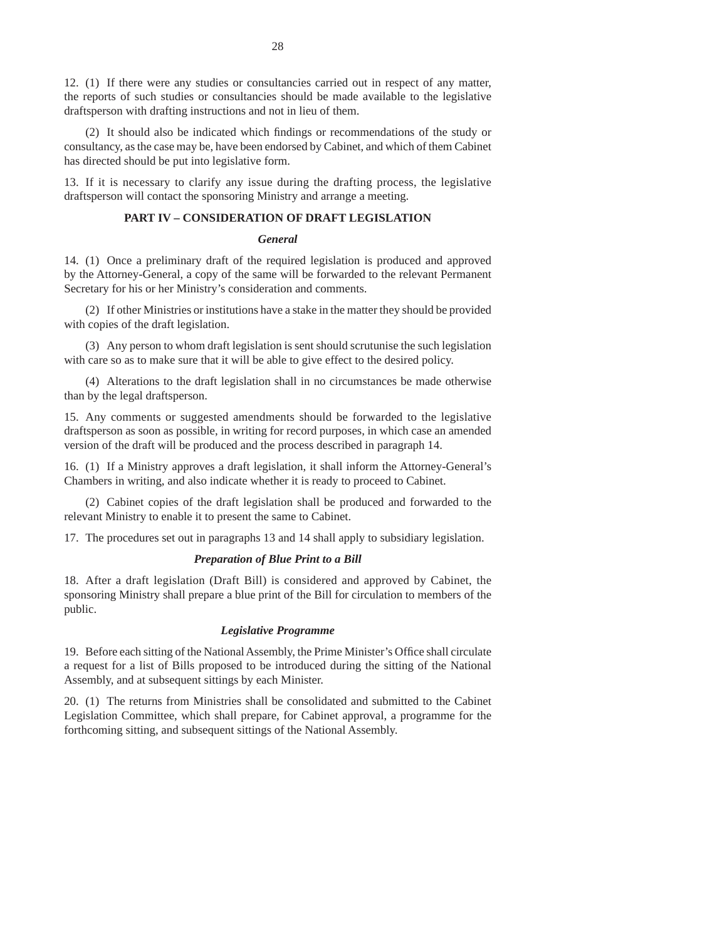12. (1) If there were any studies or consultancies carried out in respect of any matter, the reports of such studies or consultancies should be made available to the legislative draftsperson with drafting instructions and not in lieu of them.

(2) It should also be indicated which findings or recommendations of the study or consultancy, as the case may be, have been endorsed by Cabinet, and which of them Cabinet has directed should be put into legislative form.

13. If it is necessary to clarify any issue during the drafting process, the legislative draftsperson will contact the sponsoring Ministry and arrange a meeting.

## **PART IV – CONSIDERATION OF DRAFT LEGISLATION**

### *General*

14. (1) Once a preliminary draft of the required legislation is produced and approved by the Attorney-General, a copy of the same will be forwarded to the relevant Permanent Secretary for his or her Ministry's consideration and comments.

 (2) If other Ministries or institutions have a stake in the matter they should be provided with copies of the draft legislation.

 (3) Any person to whom draft legislation is sent should scrutunise the such legislation with care so as to make sure that it will be able to give effect to the desired policy.

 (4) Alterations to the draft legislation shall in no circumstances be made otherwise than by the legal draftsperson.

15. Any comments or suggested amendments should be forwarded to the legislative draftsperson as soon as possible, in writing for record purposes, in which case an amended version of the draft will be produced and the process described in paragraph 14.

16. (1) If a Ministry approves a draft legislation, it shall inform the Attorney-General's Chambers in writing, and also indicate whether it is ready to proceed to Cabinet.

 (2) Cabinet copies of the draft legislation shall be produced and forwarded to the relevant Ministry to enable it to present the same to Cabinet.

17. The procedures set out in paragraphs 13 and 14 shall apply to subsidiary legislation.

#### *Preparation of Blue Print to a Bill*

18. After a draft legislation (Draft Bill) is considered and approved by Cabinet, the sponsoring Ministry shall prepare a blue print of the Bill for circulation to members of the public.

#### *Legislative Programme*

19. Before each sitting of the National Assembly, the Prime Minister's Office shall circulate a request for a list of Bills proposed to be introduced during the sitting of the National Assembly, and at subsequent sittings by each Minister.

20. (1) The returns from Ministries shall be consolidated and submitted to the Cabinet Legislation Committee, which shall prepare, for Cabinet approval, a programme for the forthcoming sitting, and subsequent sittings of the National Assembly.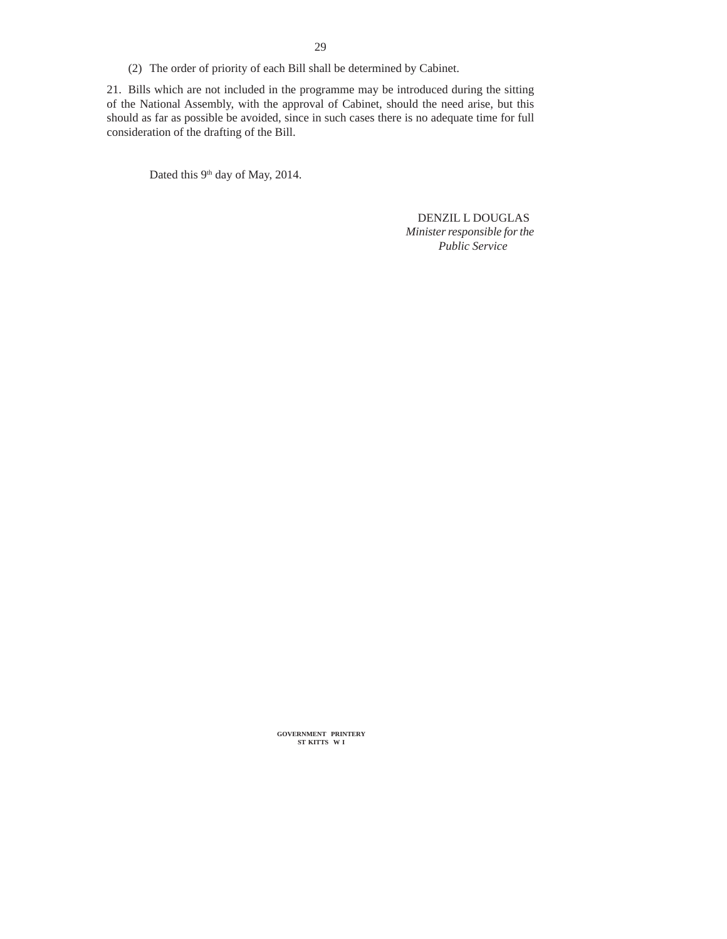(2) The order of priority of each Bill shall be determined by Cabinet.

21. Bills which are not included in the programme may be introduced during the sitting of the National Assembly, with the approval of Cabinet, should the need arise, but this should as far as possible be avoided, since in such cases there is no adequate time for full consideration of the drafting of the Bill.

Dated this 9<sup>th</sup> day of May, 2014.

 DENZIL L DOUGLAS *Minister responsible for the Public Service*

**GOVERNMENT PRINTERY ST KITTS W I**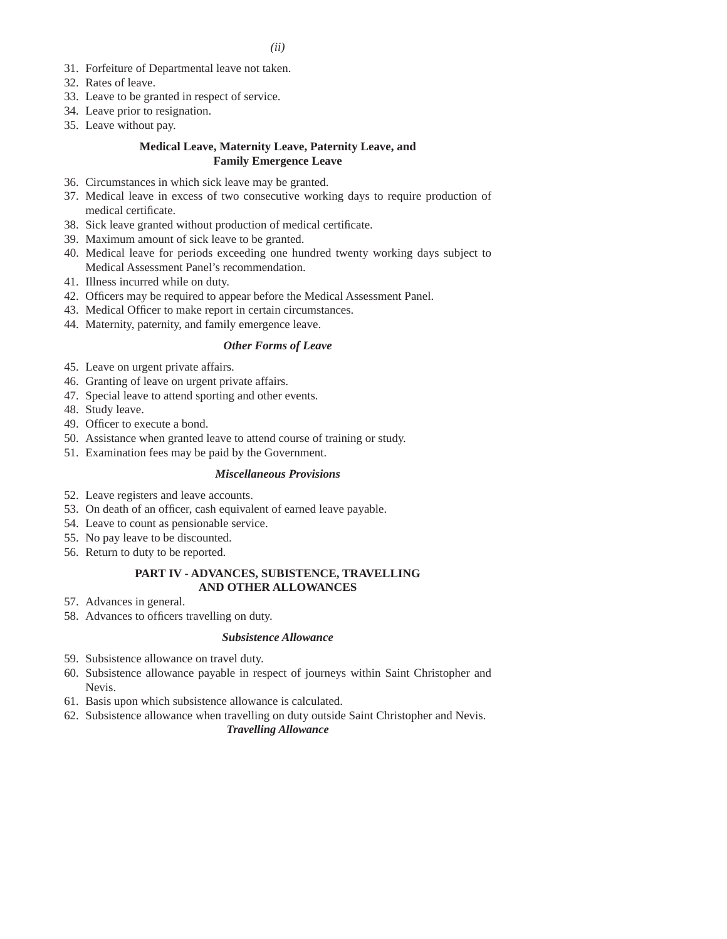- 31. Forfeiture of Departmental leave not taken.
- 32. Rates of leave.
- 33. Leave to be granted in respect of service.
- 34. Leave prior to resignation.
- 35. Leave without pay.

# **Medical Leave, Maternity Leave, Paternity Leave, and Family Emergence Leave**

- 36. Circumstances in which sick leave may be granted.
- 37. Medical leave in excess of two consecutive working days to require production of medical certificate.
- 38. Sick leave granted without production of medical certificate.
- 39. Maximum amount of sick leave to be granted.
- 40. Medical leave for periods exceeding one hundred twenty working days subject to Medical Assessment Panel's recommendation.
- 41. Illness incurred while on duty.
- 42. Officers may be required to appear before the Medical Assessment Panel.
- 43. Medical Officer to make report in certain circumstances.
- 44. Maternity, paternity, and family emergence leave.

## *Other Forms of Leave*

- 45. Leave on urgent private affairs.
- 46. Granting of leave on urgent private affairs.
- 47. Special leave to attend sporting and other events.
- 48. Study leave.
- 49. Officer to execute a bond.
- 50. Assistance when granted leave to attend course of training or study.
- 51. Examination fees may be paid by the Government.

## *Miscellaneous Provisions*

- 52. Leave registers and leave accounts.
- 53. On death of an officer, cash equivalent of earned leave payable.
- 54. Leave to count as pensionable service.
- 55. No pay leave to be discounted.
- 56. Return to duty to be reported.

## **PART IV - ADVANCES, SUBISTENCE, TRAVELLING AND OTHER ALLOWANCES**

- 57. Advances in general.
- 58. Advances to officers travelling on duty.

## *Subsistence Allowance*

- 59. Subsistence allowance on travel duty.
- 60. Subsistence allowance payable in respect of journeys within Saint Christopher and Nevis.
- 61. Basis upon which subsistence allowance is calculated.
- 62. Subsistence allowance when travelling on duty outside Saint Christopher and Nevis. *Travelling Allowance*